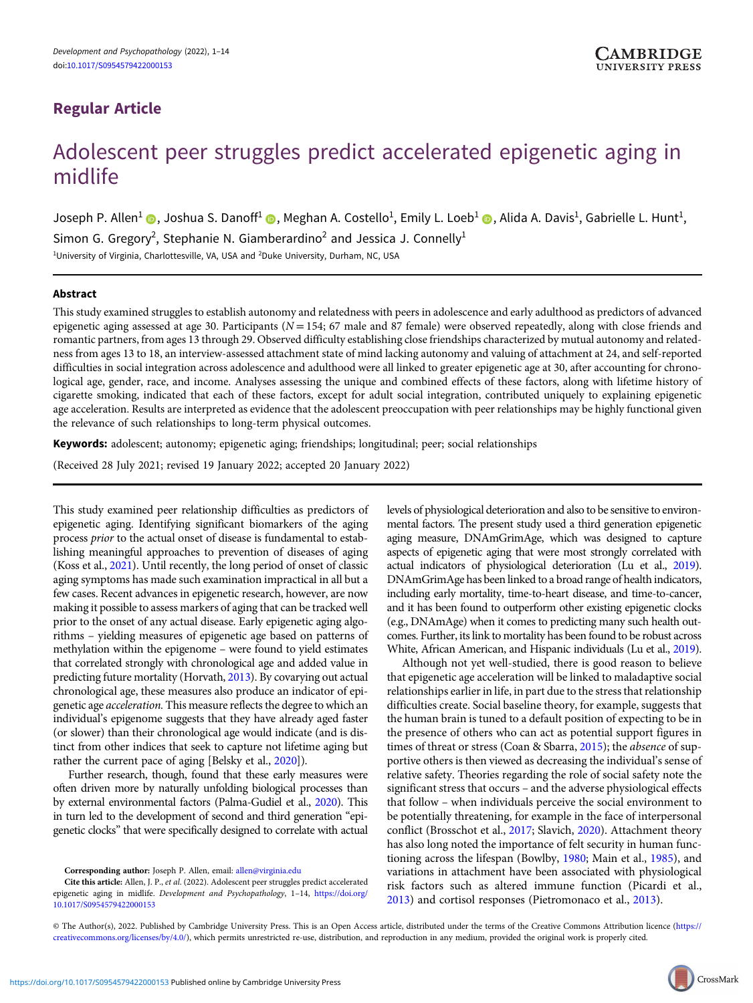# Regular Article

# Adolescent peer struggles predict accelerated epigenetic aging in midlife

Joseph P. Allen<sup>1</sup> ◉, Joshua S. Danoff<sup>1</sup> ◉, Meghan A. Costello<sup>1</sup>, Emily L. Loeb<sup>1</sup> ◉, Alida A. Davis<sup>1</sup>, Gabrielle L. Hunt<sup>1</sup>, Simon G. Gregory<sup>2</sup>, Stephanie N. Giamberardino<sup>2</sup> and Jessica J. Connelly<sup>1</sup> <sup>1</sup>University of Virginia, Charlottesville, VA, USA and <sup>2</sup>Duke University, Durham, NC, USA

### Abstract

This study examined struggles to establish autonomy and relatedness with peers in adolescence and early adulthood as predictors of advanced epigenetic aging assessed at age 30. Participants ( $N = 154$ ; 67 male and 87 female) were observed repeatedly, along with close friends and romantic partners, from ages 13 through 29. Observed difficulty establishing close friendships characterized by mutual autonomy and relatedness from ages 13 to 18, an interview-assessed attachment state of mind lacking autonomy and valuing of attachment at 24, and self-reported difficulties in social integration across adolescence and adulthood were all linked to greater epigenetic age at 30, after accounting for chronological age, gender, race, and income. Analyses assessing the unique and combined effects of these factors, along with lifetime history of cigarette smoking, indicated that each of these factors, except for adult social integration, contributed uniquely to explaining epigenetic age acceleration. Results are interpreted as evidence that the adolescent preoccupation with peer relationships may be highly functional given the relevance of such relationships to long-term physical outcomes.

Keywords: adolescent; autonomy; epigenetic aging; friendships; longitudinal; peer; social relationships

(Received 28 July 2021; revised 19 January 2022; accepted 20 January 2022)

This study examined peer relationship difficulties as predictors of epigenetic aging. Identifying significant biomarkers of the aging process prior to the actual onset of disease is fundamental to establishing meaningful approaches to prevention of diseases of aging (Koss et al., [2021\)](#page-12-0). Until recently, the long period of onset of classic aging symptoms has made such examination impractical in all but a few cases. Recent advances in epigenetic research, however, are now making it possible to assess markers of aging that can be tracked well prior to the onset of any actual disease. Early epigenetic aging algorithms – yielding measures of epigenetic age based on patterns of methylation within the epigenome – were found to yield estimates that correlated strongly with chronological age and added value in predicting future mortality (Horvath, [2013](#page-12-0)). By covarying out actual chronological age, these measures also produce an indicator of epigenetic age acceleration. This measure reflects the degree to which an individual's epigenome suggests that they have already aged faster (or slower) than their chronological age would indicate (and is distinct from other indices that seek to capture not lifetime aging but rather the current pace of aging [Belsky et al., [2020\]](#page-11-0)).

Further research, though, found that these early measures were often driven more by naturally unfolding biological processes than by external environmental factors (Palma-Gudiel et al., [2020\)](#page-12-0). This in turn led to the development of second and third generation "epigenetic clocks" that were specifically designed to correlate with actual

levels of physiological deterioration and also to be sensitive to environmental factors. The present study used a third generation epigenetic aging measure, DNAmGrimAge, which was designed to capture aspects of epigenetic aging that were most strongly correlated with actual indicators of physiological deterioration (Lu et al., [2019\)](#page-12-0). DNAmGrimAge has been linked to a broad range of health indicators, including early mortality, time-to-heart disease, and time-to-cancer, and it has been found to outperform other existing epigenetic clocks (e.g., DNAmAge) when it comes to predicting many such health outcomes. Further, its link to mortality has been found to be robust across White, African American, and Hispanic individuals (Lu et al., [2019\)](#page-12-0).

Although not yet well-studied, there is good reason to believe that epigenetic age acceleration will be linked to maladaptive social relationships earlier in life, in part due to the stress that relationship difficulties create. Social baseline theory, for example, suggests that the human brain is tuned to a default position of expecting to be in the presence of others who can act as potential support figures in times of threat or stress (Coan & Sbarra, [2015\)](#page-11-0); the *absence* of supportive others is then viewed as decreasing the individual's sense of relative safety. Theories regarding the role of social safety note the significant stress that occurs – and the adverse physiological effects that follow – when individuals perceive the social environment to be potentially threatening, for example in the face of interpersonal conflict (Brosschot et al., [2017;](#page-11-0) Slavich, [2020\)](#page-13-0). Attachment theory has also long noted the importance of felt security in human functioning across the lifespan (Bowlby, [1980](#page-11-0); Main et al., [1985\)](#page-12-0), and variations in attachment have been associated with physiological risk factors such as altered immune function (Picardi et al., [2013](#page-12-0)) and cortisol responses (Pietromonaco et al., [2013](#page-12-0)).

© The Author(s), 2022. Published by Cambridge University Press. This is an Open Access article, distributed under the terms of the Creative Commons Attribution licence ([https://](https://creativecommons.org/licenses/by/4.0/) [creativecommons.org/licenses/by/4.0/](https://creativecommons.org/licenses/by/4.0/)), which permits unrestricted re-use, distribution, and reproduction in any medium, provided the original work is properly cited.

Corresponding author: Joseph P. Allen, email: [allen@virginia.edu](mailto:allen@virginia.edu)

Cite this article: Allen, J. P., et al. (2022). Adolescent peer struggles predict accelerated epigenetic aging in midlife. Development and Psychopathology, 1–14, [https://doi.org/](https://doi.org/10.1017/S0954579422000153) [10.1017/S0954579422000153](https://doi.org/10.1017/S0954579422000153)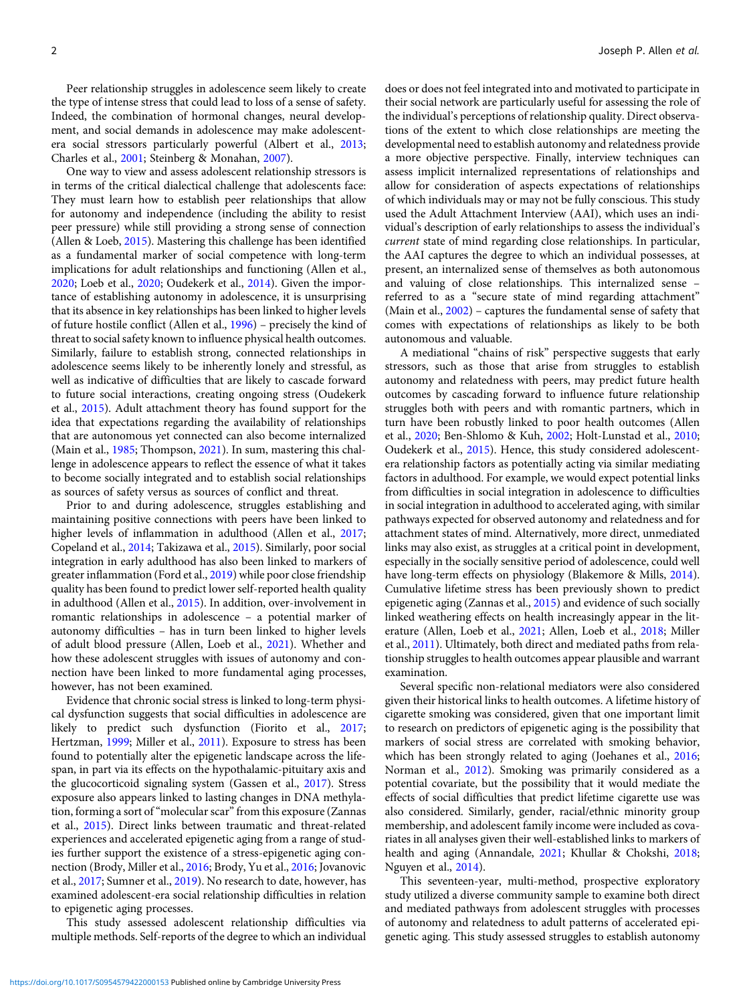Peer relationship struggles in adolescence seem likely to create the type of intense stress that could lead to loss of a sense of safety. Indeed, the combination of hormonal changes, neural development, and social demands in adolescence may make adolescentera social stressors particularly powerful (Albert et al., [2013](#page-11-0); Charles et al., [2001;](#page-11-0) Steinberg & Monahan, [2007](#page-13-0)).

One way to view and assess adolescent relationship stressors is in terms of the critical dialectical challenge that adolescents face: They must learn how to establish peer relationships that allow for autonomy and independence (including the ability to resist peer pressure) while still providing a strong sense of connection (Allen & Loeb, [2015\)](#page-11-0). Mastering this challenge has been identified as a fundamental marker of social competence with long-term implications for adult relationships and functioning (Allen et al., [2020;](#page-11-0) Loeb et al., [2020;](#page-12-0) Oudekerk et al., [2014](#page-12-0)). Given the importance of establishing autonomy in adolescence, it is unsurprising that its absence in key relationships has been linked to higher levels of future hostile conflict (Allen et al., [1996](#page-11-0)) – precisely the kind of threat to social safety known to influence physical health outcomes. Similarly, failure to establish strong, connected relationships in adolescence seems likely to be inherently lonely and stressful, as well as indicative of difficulties that are likely to cascade forward to future social interactions, creating ongoing stress (Oudekerk et al., [2015\)](#page-12-0). Adult attachment theory has found support for the idea that expectations regarding the availability of relationships that are autonomous yet connected can also become internalized (Main et al., [1985;](#page-12-0) Thompson, [2021\)](#page-13-0). In sum, mastering this challenge in adolescence appears to reflect the essence of what it takes to become socially integrated and to establish social relationships as sources of safety versus as sources of conflict and threat.

Prior to and during adolescence, struggles establishing and maintaining positive connections with peers have been linked to higher levels of inflammation in adulthood (Allen et al., [2017](#page-11-0); Copeland et al., [2014;](#page-11-0) Takizawa et al., [2015](#page-13-0)). Similarly, poor social integration in early adulthood has also been linked to markers of greater inflammation (Ford et al., [2019](#page-11-0)) while poor close friendship quality has been found to predict lower self-reported health quality in adulthood (Allen et al., [2015](#page-11-0)). In addition, over-involvement in romantic relationships in adolescence – a potential marker of autonomy difficulties – has in turn been linked to higher levels of adult blood pressure (Allen, Loeb et al., [2021](#page-11-0)). Whether and how these adolescent struggles with issues of autonomy and connection have been linked to more fundamental aging processes, however, has not been examined.

Evidence that chronic social stress is linked to long-term physical dysfunction suggests that social difficulties in adolescence are likely to predict such dysfunction (Fiorito et al., [2017](#page-11-0); Hertzman, [1999](#page-12-0); Miller et al., [2011](#page-12-0)). Exposure to stress has been found to potentially alter the epigenetic landscape across the lifespan, in part via its effects on the hypothalamic-pituitary axis and the glucocorticoid signaling system (Gassen et al., [2017\)](#page-12-0). Stress exposure also appears linked to lasting changes in DNA methylation, forming a sort of "molecular scar" from this exposure (Zannas et al., [2015](#page-13-0)). Direct links between traumatic and threat-related experiences and accelerated epigenetic aging from a range of studies further support the existence of a stress-epigenetic aging connection (Brody, Miller et al., [2016](#page-11-0); Brody, Yu et al., [2016](#page-11-0); Jovanovic et al., [2017](#page-12-0); Sumner et al., [2019](#page-13-0)). No research to date, however, has examined adolescent-era social relationship difficulties in relation to epigenetic aging processes.

This study assessed adolescent relationship difficulties via multiple methods. Self-reports of the degree to which an individual does or does not feel integrated into and motivated to participate in their social network are particularly useful for assessing the role of the individual's perceptions of relationship quality. Direct observations of the extent to which close relationships are meeting the developmental need to establish autonomy and relatedness provide a more objective perspective. Finally, interview techniques can assess implicit internalized representations of relationships and allow for consideration of aspects expectations of relationships of which individuals may or may not be fully conscious. This study used the Adult Attachment Interview (AAI), which uses an individual's description of early relationships to assess the individual's current state of mind regarding close relationships. In particular, the AAI captures the degree to which an individual possesses, at present, an internalized sense of themselves as both autonomous and valuing of close relationships. This internalized sense – referred to as a "secure state of mind regarding attachment" (Main et al., [2002\)](#page-12-0) – captures the fundamental sense of safety that comes with expectations of relationships as likely to be both autonomous and valuable.

A mediational "chains of risk" perspective suggests that early stressors, such as those that arise from struggles to establish autonomy and relatedness with peers, may predict future health outcomes by cascading forward to influence future relationship struggles both with peers and with romantic partners, which in turn have been robustly linked to poor health outcomes (Allen et al., [2020](#page-11-0); Ben-Shlomo & Kuh, [2002;](#page-11-0) Holt-Lunstad et al., [2010](#page-12-0); Oudekerk et al., [2015](#page-12-0)). Hence, this study considered adolescentera relationship factors as potentially acting via similar mediating factors in adulthood. For example, we would expect potential links from difficulties in social integration in adolescence to difficulties in social integration in adulthood to accelerated aging, with similar pathways expected for observed autonomy and relatedness and for attachment states of mind. Alternatively, more direct, unmediated links may also exist, as struggles at a critical point in development, especially in the socially sensitive period of adolescence, could well have long-term effects on physiology (Blakemore & Mills, [2014](#page-11-0)). Cumulative lifetime stress has been previously shown to predict epigenetic aging (Zannas et al., [2015](#page-13-0)) and evidence of such socially linked weathering effects on health increasingly appear in the literature (Allen, Loeb et al., [2021;](#page-11-0) Allen, Loeb et al., [2018;](#page-11-0) Miller et al., [2011](#page-12-0)). Ultimately, both direct and mediated paths from relationship struggles to health outcomes appear plausible and warrant examination.

Several specific non-relational mediators were also considered given their historical links to health outcomes. A lifetime history of cigarette smoking was considered, given that one important limit to research on predictors of epigenetic aging is the possibility that markers of social stress are correlated with smoking behavior, which has been strongly related to aging (Joehanes et al., [2016](#page-12-0); Norman et al., [2012\)](#page-12-0). Smoking was primarily considered as a potential covariate, but the possibility that it would mediate the effects of social difficulties that predict lifetime cigarette use was also considered. Similarly, gender, racial/ethnic minority group membership, and adolescent family income were included as covariates in all analyses given their well-established links to markers of health and aging (Annandale, [2021;](#page-11-0) Khullar & Chokshi, [2018](#page-12-0); Nguyen et al., [2014\)](#page-12-0).

This seventeen-year, multi-method, prospective exploratory study utilized a diverse community sample to examine both direct and mediated pathways from adolescent struggles with processes of autonomy and relatedness to adult patterns of accelerated epigenetic aging. This study assessed struggles to establish autonomy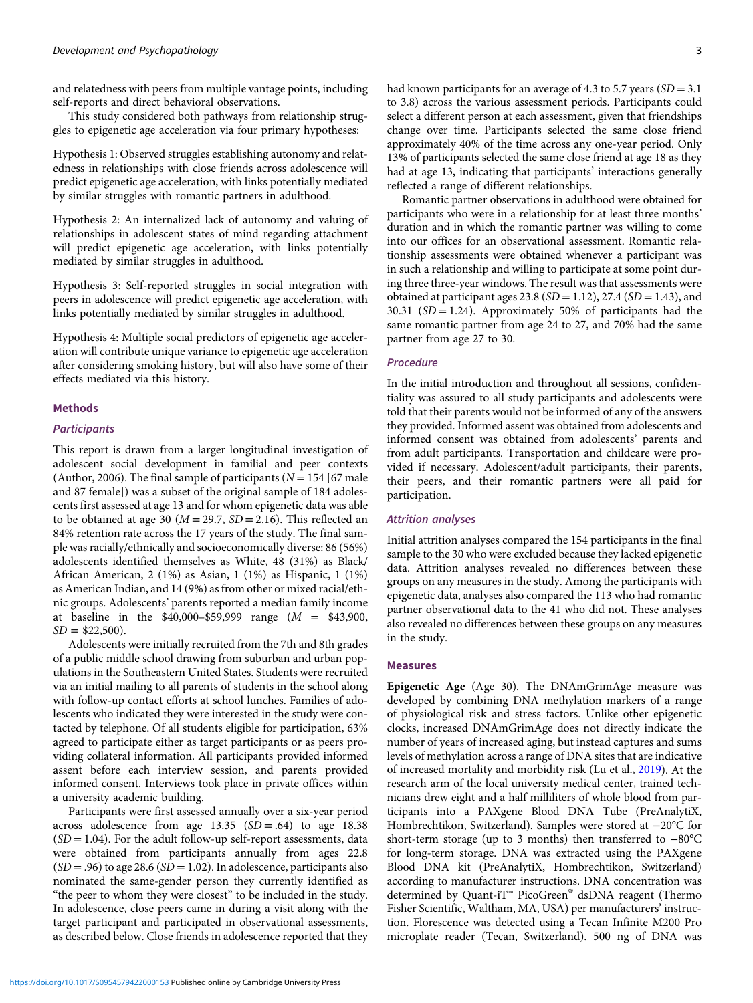and relatedness with peers from multiple vantage points, including self-reports and direct behavioral observations.

This study considered both pathways from relationship struggles to epigenetic age acceleration via four primary hypotheses:

Hypothesis 1: Observed struggles establishing autonomy and relatedness in relationships with close friends across adolescence will predict epigenetic age acceleration, with links potentially mediated by similar struggles with romantic partners in adulthood.

Hypothesis 2: An internalized lack of autonomy and valuing of relationships in adolescent states of mind regarding attachment will predict epigenetic age acceleration, with links potentially mediated by similar struggles in adulthood.

Hypothesis 3: Self-reported struggles in social integration with peers in adolescence will predict epigenetic age acceleration, with links potentially mediated by similar struggles in adulthood.

Hypothesis 4: Multiple social predictors of epigenetic age acceleration will contribute unique variance to epigenetic age acceleration after considering smoking history, but will also have some of their effects mediated via this history.

# Methods

#### **Participants**

This report is drawn from a larger longitudinal investigation of adolescent social development in familial and peer contexts (Author, 2006). The final sample of participants ( $N = 154$  [67 male and 87 female]) was a subset of the original sample of 184 adolescents first assessed at age 13 and for whom epigenetic data was able to be obtained at age 30 ( $M = 29.7$ ,  $SD = 2.16$ ). This reflected an 84% retention rate across the 17 years of the study. The final sample was racially/ethnically and socioeconomically diverse: 86 (56%) adolescents identified themselves as White, 48 (31%) as Black/ African American, 2 (1%) as Asian, 1 (1%) as Hispanic, 1 (1%) as American Indian, and 14 (9%) as from other or mixed racial/ethnic groups. Adolescents' parents reported a median family income at baseline in the \$40,000–\$59,999 range (M = \$43,900,  $SD = $22,500$ .

Adolescents were initially recruited from the 7th and 8th grades of a public middle school drawing from suburban and urban populations in the Southeastern United States. Students were recruited via an initial mailing to all parents of students in the school along with follow-up contact efforts at school lunches. Families of adolescents who indicated they were interested in the study were contacted by telephone. Of all students eligible for participation, 63% agreed to participate either as target participants or as peers providing collateral information. All participants provided informed assent before each interview session, and parents provided informed consent. Interviews took place in private offices within a university academic building.

Participants were first assessed annually over a six-year period across adolescence from age  $13.35$   $(SD = .64)$  to age 18.38  $(SD = 1.04)$ . For the adult follow-up self-report assessments, data were obtained from participants annually from ages 22.8  $(SD = .96)$  to age 28.6  $(SD = 1.02)$ . In adolescence, participants also nominated the same-gender person they currently identified as "the peer to whom they were closest" to be included in the study. In adolescence, close peers came in during a visit along with the target participant and participated in observational assessments, as described below. Close friends in adolescence reported that they

had known participants for an average of 4.3 to 5.7 years  $(SD = 3.1)$ to 3.8) across the various assessment periods. Participants could select a different person at each assessment, given that friendships change over time. Participants selected the same close friend approximately 40% of the time across any one-year period. Only 13% of participants selected the same close friend at age 18 as they had at age 13, indicating that participants' interactions generally reflected a range of different relationships.

Romantic partner observations in adulthood were obtained for participants who were in a relationship for at least three months' duration and in which the romantic partner was willing to come into our offices for an observational assessment. Romantic relationship assessments were obtained whenever a participant was in such a relationship and willing to participate at some point during three three-year windows. The result was that assessments were obtained at participant ages 23.8 ( $SD = 1.12$ ), 27.4 ( $SD = 1.43$ ), and 30.31 ( $SD = 1.24$ ). Approximately 50% of participants had the same romantic partner from age 24 to 27, and 70% had the same partner from age 27 to 30.

#### Procedure

In the initial introduction and throughout all sessions, confidentiality was assured to all study participants and adolescents were told that their parents would not be informed of any of the answers they provided. Informed assent was obtained from adolescents and informed consent was obtained from adolescents' parents and from adult participants. Transportation and childcare were provided if necessary. Adolescent/adult participants, their parents, their peers, and their romantic partners were all paid for participation.

#### Attrition analyses

Initial attrition analyses compared the 154 participants in the final sample to the 30 who were excluded because they lacked epigenetic data. Attrition analyses revealed no differences between these groups on any measures in the study. Among the participants with epigenetic data, analyses also compared the 113 who had romantic partner observational data to the 41 who did not. These analyses also revealed no differences between these groups on any measures in the study.

# Measures

Epigenetic Age (Age 30). The DNAmGrimAge measure was developed by combining DNA methylation markers of a range of physiological risk and stress factors. Unlike other epigenetic clocks, increased DNAmGrimAge does not directly indicate the number of years of increased aging, but instead captures and sums levels of methylation across a range of DNA sites that are indicative of increased mortality and morbidity risk (Lu et al., [2019](#page-12-0)). At the research arm of the local university medical center, trained technicians drew eight and a half milliliters of whole blood from participants into a PAXgene Blood DNA Tube (PreAnalytiX, Hombrechtikon, Switzerland). Samples were stored at −20°C for short-term storage (up to 3 months) then transferred to −80°C for long-term storage. DNA was extracted using the PAXgene Blood DNA kit (PreAnalytiX, Hombrechtikon, Switzerland) according to manufacturer instructions. DNA concentration was determined by Quant-iT™ PicoGreen® dsDNA reagent (Thermo Fisher Scientific, Waltham, MA, USA) per manufacturers' instruction. Florescence was detected using a Tecan Infinite M200 Pro microplate reader (Tecan, Switzerland). 500 ng of DNA was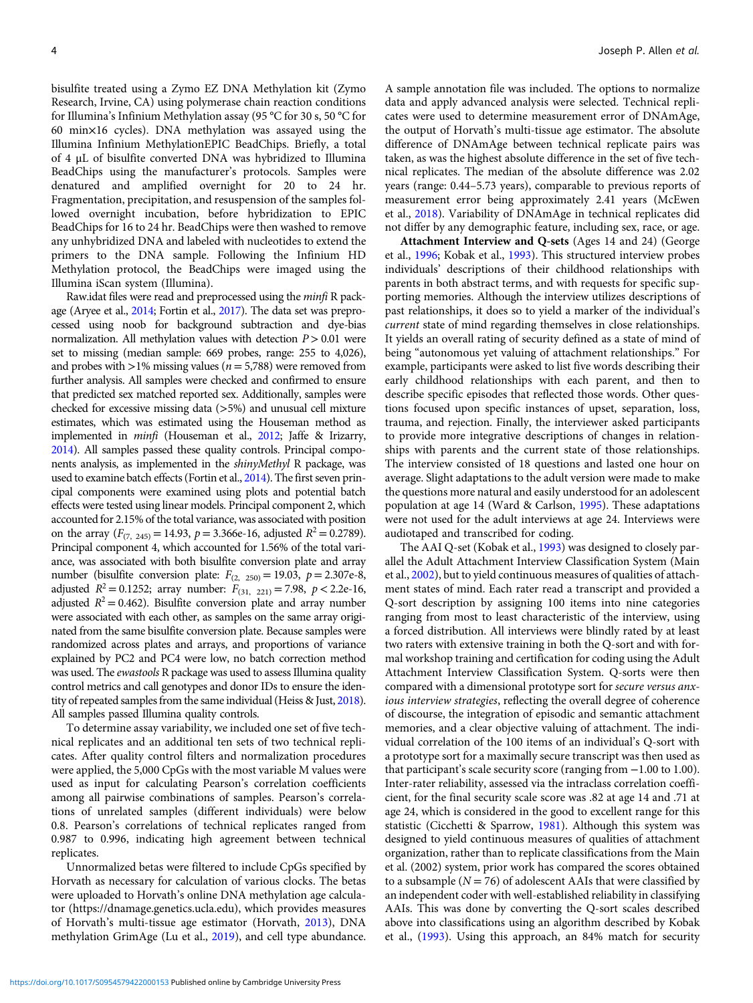bisulfite treated using a Zymo EZ DNA Methylation kit (Zymo Research, Irvine, CA) using polymerase chain reaction conditions for Illumina's Infinium Methylation assay (95 °C for 30 s, 50 °C for 60 min×16 cycles). DNA methylation was assayed using the Illumina Infinium MethylationEPIC BeadChips. Briefly, a total of 4 μL of bisulfite converted DNA was hybridized to Illumina BeadChips using the manufacturer's protocols. Samples were denatured and amplified overnight for 20 to 24 hr. Fragmentation, precipitation, and resuspension of the samples followed overnight incubation, before hybridization to EPIC BeadChips for 16 to 24 hr. BeadChips were then washed to remove any unhybridized DNA and labeled with nucleotides to extend the primers to the DNA sample. Following the Infinium HD Methylation protocol, the BeadChips were imaged using the Illumina iScan system (Illumina).

Raw.idat files were read and preprocessed using the minfi R package (Aryee et al., [2014](#page-11-0); Fortin et al., [2017](#page-12-0)). The data set was preprocessed using noob for background subtraction and dye-bias normalization. All methylation values with detection  $P > 0.01$  were set to missing (median sample: 669 probes, range: 255 to 4,026), and probes with  $>1\%$  missing values ( $n = 5,788$ ) were removed from further analysis. All samples were checked and confirmed to ensure that predicted sex matched reported sex. Additionally, samples were checked for excessive missing data (>5%) and unusual cell mixture estimates, which was estimated using the Houseman method as implemented in minfi (Houseman et al., [2012](#page-12-0); Jaffe & Irizarry, [2014\)](#page-12-0). All samples passed these quality controls. Principal components analysis, as implemented in the shinyMethyl R package, was used to examine batch effects (Fortin et al., [2014\)](#page-12-0). The first seven principal components were examined using plots and potential batch effects were tested using linear models. Principal component 2, which accounted for 2.15% of the total variance, was associated with position on the array ( $F_{(7, 245)} = 14.93$ ,  $p = 3.366e-16$ , adjusted  $R^2 = 0.2789$ ). Principal component 4, which accounted for 1.56% of the total variance, was associated with both bisulfite conversion plate and array number (bisulfite conversion plate:  $F_{(2, 250)} = 19.03$ ,  $p = 2.307e-8$ , adjusted  $R^2 = 0.1252$ ; array number:  $F_{(31, 221)} = 7.98$ ,  $p < 2.2e-16$ , adjusted  $R^2 = 0.462$ ). Bisulfite conversion plate and array number were associated with each other, as samples on the same array originated from the same bisulfite conversion plate. Because samples were randomized across plates and arrays, and proportions of variance explained by PC2 and PC4 were low, no batch correction method was used. The ewastools R package was used to assess Illumina quality control metrics and call genotypes and donor IDs to ensure the identity of repeated samples from the same individual (Heiss & Just, [2018](#page-12-0)). All samples passed Illumina quality controls.

To determine assay variability, we included one set of five technical replicates and an additional ten sets of two technical replicates. After quality control filters and normalization procedures were applied, the 5,000 CpGs with the most variable M values were used as input for calculating Pearson's correlation coefficients among all pairwise combinations of samples. Pearson's correlations of unrelated samples (different individuals) were below 0.8. Pearson's correlations of technical replicates ranged from 0.987 to 0.996, indicating high agreement between technical replicates.

Unnormalized betas were filtered to include CpGs specified by Horvath as necessary for calculation of various clocks. The betas were uploaded to Horvath's online DNA methylation age calculator (https://dnamage.genetics.ucla.edu), which provides measures of Horvath's multi-tissue age estimator (Horvath, [2013](#page-12-0)), DNA methylation GrimAge (Lu et al., [2019\)](#page-12-0), and cell type abundance. A sample annotation file was included. The options to normalize data and apply advanced analysis were selected. Technical replicates were used to determine measurement error of DNAmAge, the output of Horvath's multi-tissue age estimator. The absolute difference of DNAmAge between technical replicate pairs was taken, as was the highest absolute difference in the set of five technical replicates. The median of the absolute difference was 2.02 years (range: 0.44–5.73 years), comparable to previous reports of measurement error being approximately 2.41 years (McEwen et al., [2018](#page-12-0)). Variability of DNAmAge in technical replicates did not differ by any demographic feature, including sex, race, or age.

Attachment Interview and Q-sets (Ages 14 and 24) (George et al., [1996](#page-12-0); Kobak et al., [1993](#page-12-0)). This structured interview probes individuals' descriptions of their childhood relationships with parents in both abstract terms, and with requests for specific supporting memories. Although the interview utilizes descriptions of past relationships, it does so to yield a marker of the individual's current state of mind regarding themselves in close relationships. It yields an overall rating of security defined as a state of mind of being "autonomous yet valuing of attachment relationships." For example, participants were asked to list five words describing their early childhood relationships with each parent, and then to describe specific episodes that reflected those words. Other questions focused upon specific instances of upset, separation, loss, trauma, and rejection. Finally, the interviewer asked participants to provide more integrative descriptions of changes in relationships with parents and the current state of those relationships. The interview consisted of 18 questions and lasted one hour on average. Slight adaptations to the adult version were made to make the questions more natural and easily understood for an adolescent population at age 14 (Ward & Carlson, [1995](#page-13-0)). These adaptations were not used for the adult interviews at age 24. Interviews were audiotaped and transcribed for coding.

The AAI Q-set (Kobak et al., [1993](#page-12-0)) was designed to closely parallel the Adult Attachment Interview Classification System (Main et al., [2002\)](#page-12-0), but to yield continuous measures of qualities of attachment states of mind. Each rater read a transcript and provided a Q-sort description by assigning 100 items into nine categories ranging from most to least characteristic of the interview, using a forced distribution. All interviews were blindly rated by at least two raters with extensive training in both the Q-sort and with formal workshop training and certification for coding using the Adult Attachment Interview Classification System. Q-sorts were then compared with a dimensional prototype sort for secure versus anxious interview strategies, reflecting the overall degree of coherence of discourse, the integration of episodic and semantic attachment memories, and a clear objective valuing of attachment. The individual correlation of the 100 items of an individual's Q-sort with a prototype sort for a maximally secure transcript was then used as that participant's scale security score (ranging from −1.00 to 1.00). Inter-rater reliability, assessed via the intraclass correlation coefficient, for the final security scale score was .82 at age 14 and .71 at age 24, which is considered in the good to excellent range for this statistic (Cicchetti & Sparrow, [1981\)](#page-11-0). Although this system was designed to yield continuous measures of qualities of attachment organization, rather than to replicate classifications from the Main et al. (2002) system, prior work has compared the scores obtained to a subsample ( $N = 76$ ) of adolescent AAIs that were classified by an independent coder with well-established reliability in classifying AAIs. This was done by converting the Q-sort scales described above into classifications using an algorithm described by Kobak et al., [\(1993\)](#page-12-0). Using this approach, an 84% match for security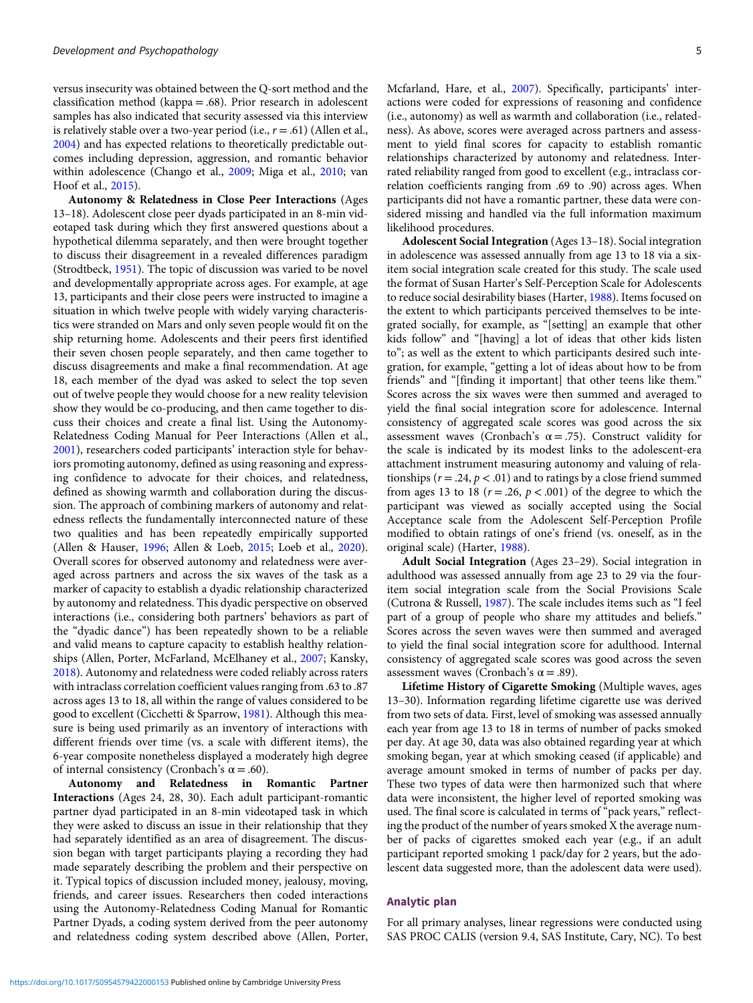versus insecurity was obtained between the Q-sort method and the classification method (kappa = .68). Prior research in adolescent samples has also indicated that security assessed via this interview is relatively stable over a two-year period (i.e.,  $r = .61$ ) (Allen et al., [2004](#page-11-0)) and has expected relations to theoretically predictable outcomes including depression, aggression, and romantic behavior within adolescence (Chango et al., [2009;](#page-11-0) Miga et al., [2010](#page-12-0); van Hoof et al., [2015\)](#page-13-0).

Autonomy & Relatedness in Close Peer Interactions (Ages 13–18). Adolescent close peer dyads participated in an 8-min videotaped task during which they first answered questions about a hypothetical dilemma separately, and then were brought together to discuss their disagreement in a revealed differences paradigm (Strodtbeck, [1951\)](#page-13-0). The topic of discussion was varied to be novel and developmentally appropriate across ages. For example, at age 13, participants and their close peers were instructed to imagine a situation in which twelve people with widely varying characteristics were stranded on Mars and only seven people would fit on the ship returning home. Adolescents and their peers first identified their seven chosen people separately, and then came together to discuss disagreements and make a final recommendation. At age 18, each member of the dyad was asked to select the top seven out of twelve people they would choose for a new reality television show they would be co-producing, and then came together to discuss their choices and create a final list. Using the Autonomy-Relatedness Coding Manual for Peer Interactions (Allen et al., [2001](#page-11-0)), researchers coded participants' interaction style for behaviors promoting autonomy, defined as using reasoning and expressing confidence to advocate for their choices, and relatedness, defined as showing warmth and collaboration during the discussion. The approach of combining markers of autonomy and relatedness reflects the fundamentally interconnected nature of these two qualities and has been repeatedly empirically supported (Allen & Hauser, [1996](#page-11-0); Allen & Loeb, [2015](#page-11-0); Loeb et al., [2020\)](#page-12-0). Overall scores for observed autonomy and relatedness were averaged across partners and across the six waves of the task as a marker of capacity to establish a dyadic relationship characterized by autonomy and relatedness. This dyadic perspective on observed interactions (i.e., considering both partners' behaviors as part of the "dyadic dance") has been repeatedly shown to be a reliable and valid means to capture capacity to establish healthy relationships (Allen, Porter, McFarland, McElhaney et al., [2007;](#page-11-0) Kansky, [2018](#page-12-0)). Autonomy and relatedness were coded reliably across raters with intraclass correlation coefficient values ranging from .63 to .87 across ages 13 to 18, all within the range of values considered to be good to excellent (Cicchetti & Sparrow, [1981](#page-11-0)). Although this measure is being used primarily as an inventory of interactions with different friends over time (vs. a scale with different items), the 6-year composite nonetheless displayed a moderately high degree of internal consistency (Cronbach's  $\alpha$  = .60).

Autonomy and Relatedness in Romantic Partner Interactions (Ages 24, 28, 30). Each adult participant-romantic partner dyad participated in an 8-min videotaped task in which they were asked to discuss an issue in their relationship that they had separately identified as an area of disagreement. The discussion began with target participants playing a recording they had made separately describing the problem and their perspective on it. Typical topics of discussion included money, jealousy, moving, friends, and career issues. Researchers then coded interactions using the Autonomy-Relatedness Coding Manual for Romantic Partner Dyads, a coding system derived from the peer autonomy and relatedness coding system described above (Allen, Porter,

Mcfarland, Hare, et al., [2007\)](#page-11-0). Specifically, participants' interactions were coded for expressions of reasoning and confidence (i.e., autonomy) as well as warmth and collaboration (i.e., relatedness). As above, scores were averaged across partners and assessment to yield final scores for capacity to establish romantic relationships characterized by autonomy and relatedness. Interrated reliability ranged from good to excellent (e.g., intraclass correlation coefficients ranging from .69 to .90) across ages. When participants did not have a romantic partner, these data were considered missing and handled via the full information maximum likelihood procedures.

Adolescent Social Integration (Ages 13–18). Social integration in adolescence was assessed annually from age 13 to 18 via a sixitem social integration scale created for this study. The scale used the format of Susan Harter's Self-Perception Scale for Adolescents to reduce social desirability biases (Harter, [1988](#page-12-0)). Items focused on the extent to which participants perceived themselves to be integrated socially, for example, as "[setting] an example that other kids follow" and "[having] a lot of ideas that other kids listen to"; as well as the extent to which participants desired such integration, for example, "getting a lot of ideas about how to be from friends" and "[finding it important] that other teens like them." Scores across the six waves were then summed and averaged to yield the final social integration score for adolescence. Internal consistency of aggregated scale scores was good across the six assessment waves (Cronbach's  $\alpha = .75$ ). Construct validity for the scale is indicated by its modest links to the adolescent-era attachment instrument measuring autonomy and valuing of relationships ( $r = .24$ ,  $p < .01$ ) and to ratings by a close friend summed from ages 13 to 18 ( $r = .26$ ,  $p < .001$ ) of the degree to which the participant was viewed as socially accepted using the Social Acceptance scale from the Adolescent Self-Perception Profile modified to obtain ratings of one's friend (vs. oneself, as in the original scale) (Harter, [1988\)](#page-12-0).

Adult Social Integration (Ages 23–29). Social integration in adulthood was assessed annually from age 23 to 29 via the fouritem social integration scale from the Social Provisions Scale (Cutrona & Russell, [1987](#page-11-0)). The scale includes items such as "I feel part of a group of people who share my attitudes and beliefs." Scores across the seven waves were then summed and averaged to yield the final social integration score for adulthood. Internal consistency of aggregated scale scores was good across the seven assessment waves (Cronbach's  $\alpha$  = .89).

Lifetime History of Cigarette Smoking (Multiple waves, ages 13–30). Information regarding lifetime cigarette use was derived from two sets of data. First, level of smoking was assessed annually each year from age 13 to 18 in terms of number of packs smoked per day. At age 30, data was also obtained regarding year at which smoking began, year at which smoking ceased (if applicable) and average amount smoked in terms of number of packs per day. These two types of data were then harmonized such that where data were inconsistent, the higher level of reported smoking was used. The final score is calculated in terms of "pack years," reflecting the product of the number of years smoked X the average number of packs of cigarettes smoked each year (e.g., if an adult participant reported smoking 1 pack/day for 2 years, but the adolescent data suggested more, than the adolescent data were used).

#### Analytic plan

For all primary analyses, linear regressions were conducted using SAS PROC CALIS (version 9.4, SAS Institute, Cary, NC). To best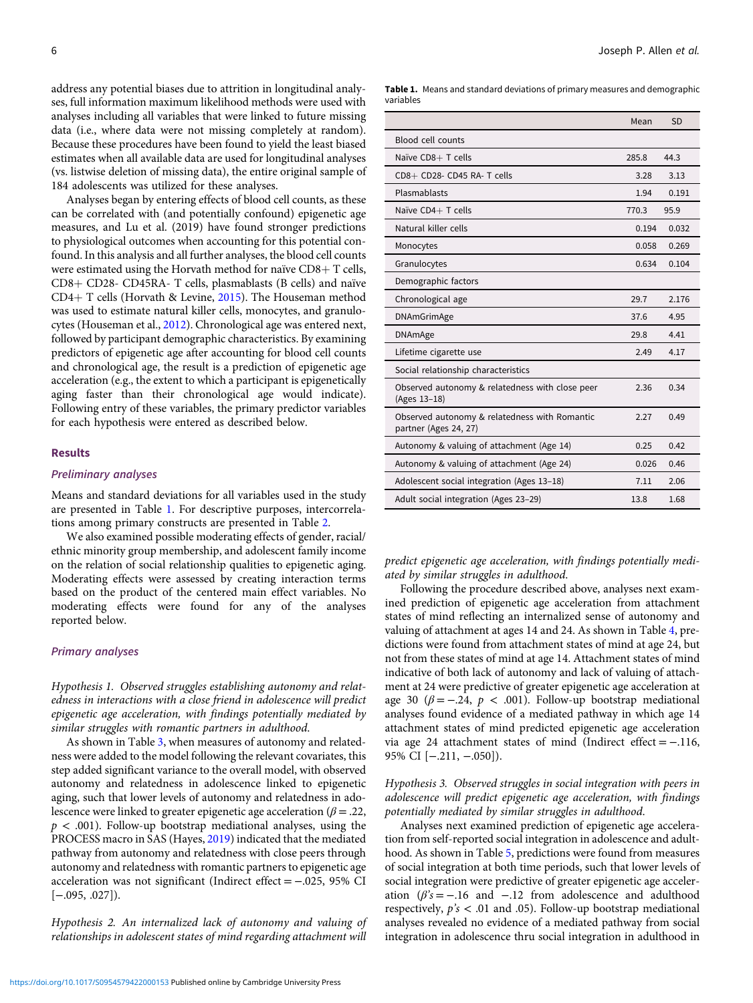address any potential biases due to attrition in longitudinal analyses, full information maximum likelihood methods were used with analyses including all variables that were linked to future missing data (i.e., where data were not missing completely at random). Because these procedures have been found to yield the least biased estimates when all available data are used for longitudinal analyses (vs. listwise deletion of missing data), the entire original sample of 184 adolescents was utilized for these analyses.

Analyses began by entering effects of blood cell counts, as these can be correlated with (and potentially confound) epigenetic age measures, and Lu et al. (2019) have found stronger predictions to physiological outcomes when accounting for this potential confound. In this analysis and all further analyses, the blood cell counts were estimated using the Horvath method for naïve  $CD8 + T$  cells,  $CD8 + CD28 - CD45RA - T$  cells, plasmablasts (B cells) and naïve CD4+ T cells (Horvath & Levine, [2015\)](#page-12-0). The Houseman method was used to estimate natural killer cells, monocytes, and granulocytes (Houseman et al., [2012](#page-12-0)). Chronological age was entered next, followed by participant demographic characteristics. By examining predictors of epigenetic age after accounting for blood cell counts and chronological age, the result is a prediction of epigenetic age acceleration (e.g., the extent to which a participant is epigenetically aging faster than their chronological age would indicate). Following entry of these variables, the primary predictor variables for each hypothesis were entered as described below.

#### Results

#### Preliminary analyses

Means and standard deviations for all variables used in the study are presented in Table 1. For descriptive purposes, intercorrelations among primary constructs are presented in Table [2](#page-6-0).

We also examined possible moderating effects of gender, racial/ ethnic minority group membership, and adolescent family income on the relation of social relationship qualities to epigenetic aging. Moderating effects were assessed by creating interaction terms based on the product of the centered main effect variables. No moderating effects were found for any of the analyses reported below.

#### Primary analyses

Hypothesis 1. Observed struggles establishing autonomy and relatedness in interactions with a close friend in adolescence will predict epigenetic age acceleration, with findings potentially mediated by similar struggles with romantic partners in adulthood.

As shown in Table [3](#page-6-0), when measures of autonomy and relatedness were added to the model following the relevant covariates, this step added significant variance to the overall model, with observed autonomy and relatedness in adolescence linked to epigenetic aging, such that lower levels of autonomy and relatedness in adolescence were linked to greater epigenetic age acceleration ( $\beta$  = .22,  $p < .001$ ). Follow-up bootstrap mediational analyses, using the PROCESS macro in SAS (Hayes, [2019](#page-12-0)) indicated that the mediated pathway from autonomy and relatedness with close peers through autonomy and relatedness with romantic partners to epigenetic age acceleration was not significant (Indirect effect = −.025, 95% CI [−.095, .027]).

Hypothesis 2. An internalized lack of autonomy and valuing of relationships in adolescent states of mind regarding attachment will Table 1. Means and standard deviations of primary measures and demographic variables

|                                                                        | Mean  | <b>SD</b> |
|------------------------------------------------------------------------|-------|-----------|
| <b>Blood cell counts</b>                                               |       |           |
| Naïve CD8+ T cells                                                     | 285.8 | 44.3      |
| $CD8 + CD28 - CD45 RA - T cells$                                       | 3.28  | 3.13      |
| Plasmablasts                                                           | 1.94  | 0.191     |
| Naïve CD4+ T cells                                                     | 770.3 | 95.9      |
| Natural killer cells                                                   | 0.194 | 0.032     |
| Monocytes                                                              | 0.058 | 0.269     |
| Granulocytes                                                           | 0.634 | 0.104     |
| Demographic factors                                                    |       |           |
| Chronological age                                                      | 29.7  | 2.176     |
| <b>DNAmGrimAge</b>                                                     | 37.6  | 4.95      |
| <b>DNAmAge</b>                                                         | 29.8  | 4.41      |
| Lifetime cigarette use                                                 | 2.49  | 4.17      |
| Social relationship characteristics                                    |       |           |
| Observed autonomy & relatedness with close peer<br>(Ages 13-18)        | 2.36  | 0.34      |
| Observed autonomy & relatedness with Romantic<br>partner (Ages 24, 27) | 2.27  | 0.49      |
| Autonomy & valuing of attachment (Age 14)                              | 0.25  | 0.42      |
| Autonomy & valuing of attachment (Age 24)                              | 0.026 | 0.46      |
| Adolescent social integration (Ages 13-18)                             | 7.11  | 2.06      |
| Adult social integration (Ages 23-29)                                  | 13.8  | 1.68      |

predict epigenetic age acceleration, with findings potentially mediated by similar struggles in adulthood.

Following the procedure described above, analyses next examined prediction of epigenetic age acceleration from attachment states of mind reflecting an internalized sense of autonomy and valuing of attachment at ages 14 and 24. As shown in Table [4,](#page-7-0) predictions were found from attachment states of mind at age 24, but not from these states of mind at age 14. Attachment states of mind indicative of both lack of autonomy and lack of valuing of attachment at 24 were predictive of greater epigenetic age acceleration at age 30 ( $\beta = -.24$ ,  $p < .001$ ). Follow-up bootstrap mediational analyses found evidence of a mediated pathway in which age 14 attachment states of mind predicted epigenetic age acceleration via age 24 attachment states of mind (Indirect effect = −.116, 95% CI [−.211, −.050]).

Hypothesis 3. Observed struggles in social integration with peers in adolescence will predict epigenetic age acceleration, with findings potentially mediated by similar struggles in adulthood.

Analyses next examined prediction of epigenetic age acceleration from self-reported social integration in adolescence and adulthood. As shown in Table [5](#page-7-0), predictions were found from measures of social integration at both time periods, such that lower levels of social integration were predictive of greater epigenetic age acceleration  $(\beta's = -.16$  and  $-.12$  from adolescence and adulthood respectively,  $p's < .01$  and 0.5). Follow-up bootstrap mediational analyses revealed no evidence of a mediated pathway from social integration in adolescence thru social integration in adulthood in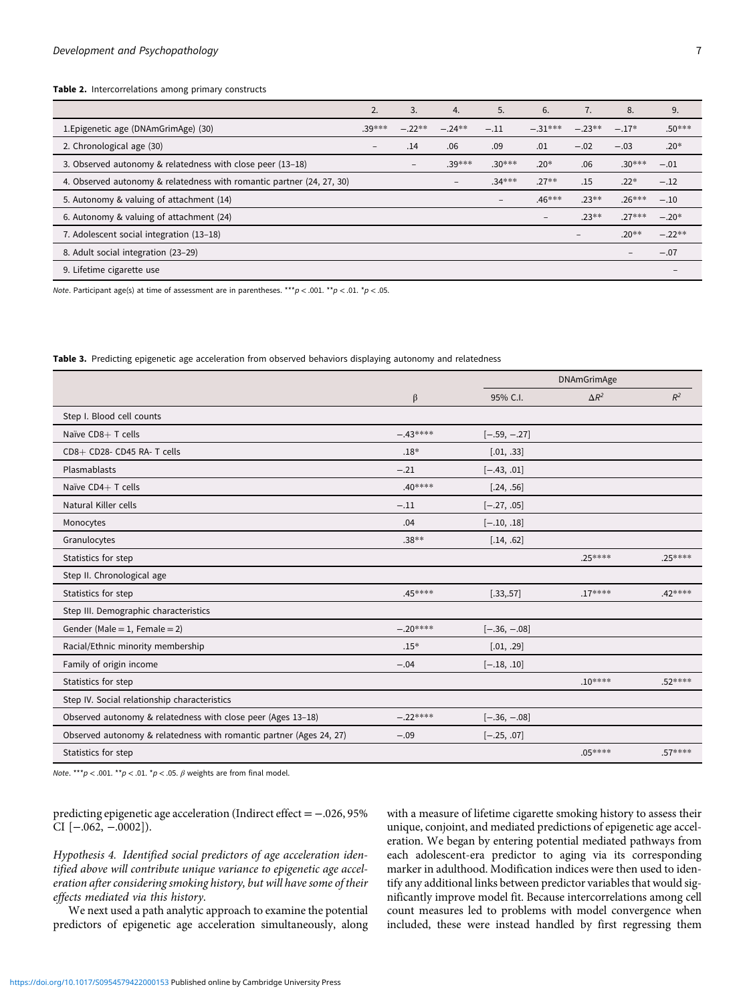<span id="page-6-0"></span>Table 2. Intercorrelations among primary constructs

|                                                                       | 2.                       | 3.              | 4.              | 5.                | 6.                | 7.                | 8.                | 9.       |
|-----------------------------------------------------------------------|--------------------------|-----------------|-----------------|-------------------|-------------------|-------------------|-------------------|----------|
| 1. Epigenetic age (DNAmGrimAge) (30)                                  | $.39***$                 | $-.22**$        | $-.24**$        | $-.11$            | $-31***$          | $-.23**$          | $-.17*$           | $.50***$ |
| 2. Chronological age (30)                                             | $\overline{\phantom{a}}$ | .14             | .06             | .09               | .01               | $-.02$            | $-.03$            | $.20*$   |
| 3. Observed autonomy & relatedness with close peer (13-18)            |                          | $\qquad \qquad$ | .39***          | $.30***$          | $.20*$            | .06               | $.30***$          | $-.01$   |
| 4. Observed autonomy & relatedness with romantic partner (24, 27, 30) |                          |                 | $\qquad \qquad$ | $.34***$          | $.27**$           | .15               | $.22*$            | $-.12$   |
| 5. Autonomy & valuing of attachment (14)                              |                          |                 |                 | $\qquad \qquad -$ | $.46***$          | $.23**$           | $.26***$          | $-.10$   |
| 6. Autonomy & valuing of attachment (24)                              |                          |                 |                 |                   | $\qquad \qquad -$ | $.23**$           | $.27***$          | $-.20*$  |
| 7. Adolescent social integration (13-18)                              |                          |                 |                 |                   |                   | $\qquad \qquad -$ | $.20**$           | $-.22**$ |
| 8. Adult social integration (23-29)                                   |                          |                 |                 |                   |                   |                   | $\qquad \qquad -$ | $-.07$   |
| 9. Lifetime cigarette use                                             |                          |                 |                 |                   |                   |                   |                   |          |

Note. Participant age(s) at time of assessment are in parentheses. \*\*\*  $p < .001$ . \*\*  $p < .01$ . \* $p < .05$ .

Table 3. Predicting epigenetic age acceleration from observed behaviors displaying autonomy and relatedness

|                                                                     |            | <b>DNAmGrimAge</b> |              |          |
|---------------------------------------------------------------------|------------|--------------------|--------------|----------|
|                                                                     | $\beta$    | 95% C.I.           | $\Delta R^2$ | $R^2$    |
| Step I. Blood cell counts                                           |            |                    |              |          |
| Naïve CD8+ T cells                                                  | $-.43****$ | $[-.59, -.27]$     |              |          |
| CD8+ CD28- CD45 RA- T cells                                         | $.18*$     | [.01, .33]         |              |          |
| Plasmablasts                                                        | $-.21$     | $[-.43, .01]$      |              |          |
| Naïve CD4+ T cells                                                  | $.40***$   | [.24, .56]         |              |          |
| Natural Killer cells                                                | $-.11$     | $[-.27, .05]$      |              |          |
| Monocytes                                                           | .04        | $[-.10, .18]$      |              |          |
| Granulocytes                                                        | $.38**$    | [.14, .62]         |              |          |
| Statistics for step                                                 |            |                    | $.25***$     | .25 **** |
| Step II. Chronological age                                          |            |                    |              |          |
| Statistics for step                                                 | .45****    | [.33, .57]         | $.17***$     | .42 **** |
| Step III. Demographic characteristics                               |            |                    |              |          |
| Gender (Male = 1, Female = $2$ )                                    | $-.20***$  | $[-.36, -.08]$     |              |          |
| Racial/Ethnic minority membership                                   | $.15*$     | [.01, .29]         |              |          |
| Family of origin income                                             | $-.04$     | $[-.18, .10]$      |              |          |
| Statistics for step                                                 |            |                    | $.10***$     | $.52***$ |
| Step IV. Social relationship characteristics                        |            |                    |              |          |
| Observed autonomy & relatedness with close peer (Ages 13-18)        | $-.22***$  | $[-.36, -.08]$     |              |          |
| Observed autonomy & relatedness with romantic partner (Ages 24, 27) | $-.09$     | $[-.25, .07]$      |              |          |
| Statistics for step                                                 |            |                    | $.05***$     | $.57***$ |

Note. \*\*\*p < .001. \*\*p < .01. \*p < .05.  $\beta$  weights are from final model.

predicting epigenetic age acceleration (Indirect effect = −.026, 95% CI [−.062, −.0002]).

Hypothesis 4. Identified social predictors of age acceleration identified above will contribute unique variance to epigenetic age acceleration after considering smoking history, but will have some of their effects mediated via this history.

We next used a path analytic approach to examine the potential predictors of epigenetic age acceleration simultaneously, along with a measure of lifetime cigarette smoking history to assess their unique, conjoint, and mediated predictions of epigenetic age acceleration. We began by entering potential mediated pathways from each adolescent-era predictor to aging via its corresponding marker in adulthood. Modification indices were then used to identify any additional links between predictor variables that would significantly improve model fit. Because intercorrelations among cell count measures led to problems with model convergence when included, these were instead handled by first regressing them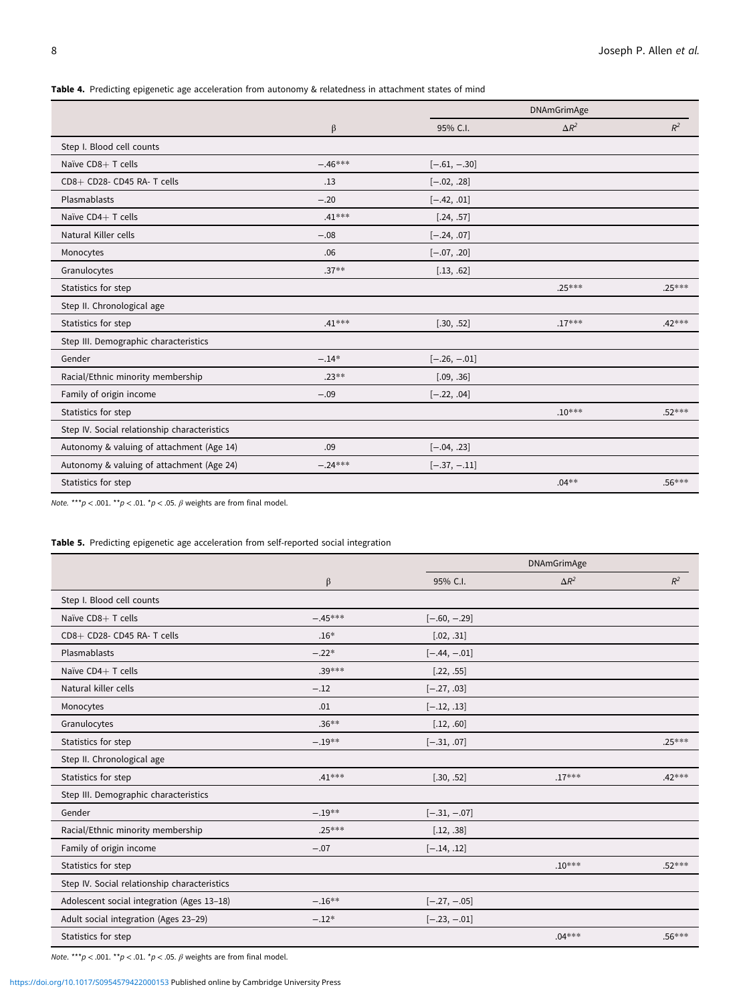<span id="page-7-0"></span>Table 4. Predicting epigenetic age acceleration from autonomy & relatedness in attachment states of mind

|                                              |           | <b>DNAmGrimAge</b> |              |          |
|----------------------------------------------|-----------|--------------------|--------------|----------|
|                                              | $\beta$   | 95% C.I.           | $\Delta R^2$ | $R^2$    |
| Step I. Blood cell counts                    |           |                    |              |          |
| Naïve CD8+ T cells                           | $-.46***$ | $[-.61, -.30]$     |              |          |
| CD8+ CD28- CD45 RA- T cells                  | .13       | $[-.02, .28]$      |              |          |
| Plasmablasts                                 | $-.20$    | $[-.42, .01]$      |              |          |
| Naïve CD4+ T cells                           | $.41***$  | [.24, .57]         |              |          |
| Natural Killer cells                         | $-.08$    | $[-.24, .07]$      |              |          |
| Monocytes                                    | .06       | $[-.07, .20]$      |              |          |
| Granulocytes                                 | $.37**$   | [.13, .62]         |              |          |
| Statistics for step                          |           |                    | $.25***$     | $.25***$ |
| Step II. Chronological age                   |           |                    |              |          |
| Statistics for step                          | $.41***$  | [.30, .52]         | $.17***$     | $.42***$ |
| Step III. Demographic characteristics        |           |                    |              |          |
| Gender                                       | $-.14*$   | $[-.26, -.01]$     |              |          |
| Racial/Ethnic minority membership            | $.23**$   | [.09, .36]         |              |          |
| Family of origin income                      | $-.09$    | $[-.22, .04]$      |              |          |
| Statistics for step                          |           |                    | $.10***$     | $.52***$ |
| Step IV. Social relationship characteristics |           |                    |              |          |
| Autonomy & valuing of attachment (Age 14)    | .09       | $[-.04, .23]$      |              |          |
| Autonomy & valuing of attachment (Age 24)    | $-.24***$ | $[-.37, -.11]$     |              |          |
| Statistics for step                          |           |                    | $.04**$      | $.56***$ |

Note. \*\*\*p < .001. \*\*p < .01. \*p < .05.  $\beta$  weights are from final model.

# Table 5. Predicting epigenetic age acceleration from self-reported social integration

|                                              |           |                | <b>DNAmGrimAge</b> |          |  |
|----------------------------------------------|-----------|----------------|--------------------|----------|--|
|                                              | $\beta$   | 95% C.I.       | $\Delta R^2$       | $R^2$    |  |
| Step I. Blood cell counts                    |           |                |                    |          |  |
| Naïve CD8+ T cells                           | $-.45***$ | $[-.60, -.29]$ |                    |          |  |
| CD8+ CD28- CD45 RA- T cells                  | $.16*$    | [.02, .31]     |                    |          |  |
| Plasmablasts                                 | $-.22*$   | $[-.44, -.01]$ |                    |          |  |
| Naïve CD4+ T cells                           | $.39***$  | [.22, .55]     |                    |          |  |
| Natural killer cells                         | $-.12$    | $[-.27, .03]$  |                    |          |  |
| Monocytes                                    | .01       | $[-.12, .13]$  |                    |          |  |
| Granulocytes                                 | $.36**$   | [.12, .60]     |                    |          |  |
| Statistics for step                          | $-.19**$  | $[-.31, .07]$  |                    | $.25***$ |  |
| Step II. Chronological age                   |           |                |                    |          |  |
| Statistics for step                          | $.41***$  | [.30, .52]     | $.17***$           | $.42***$ |  |
| Step III. Demographic characteristics        |           |                |                    |          |  |
| Gender                                       | $-.19**$  | $[-.31, -.07]$ |                    |          |  |
| Racial/Ethnic minority membership            | $.25***$  | [.12, .38]     |                    |          |  |
| Family of origin income                      | $-.07$    | $[-.14, .12]$  |                    |          |  |
| Statistics for step                          |           |                | $.10***$           | $.52***$ |  |
| Step IV. Social relationship characteristics |           |                |                    |          |  |
| Adolescent social integration (Ages 13-18)   | $-.16**$  | $[-.27, -.05]$ |                    |          |  |
| Adult social integration (Ages 23-29)        | $-.12*$   | $[-.23, -.01]$ |                    |          |  |
| Statistics for step                          |           |                | $.04***$           | $.56***$ |  |

Note. \*\*\*  $p < .001$ . \*\* $p < .01$ . \* $p < .05$ .  $\beta$  weights are from final model.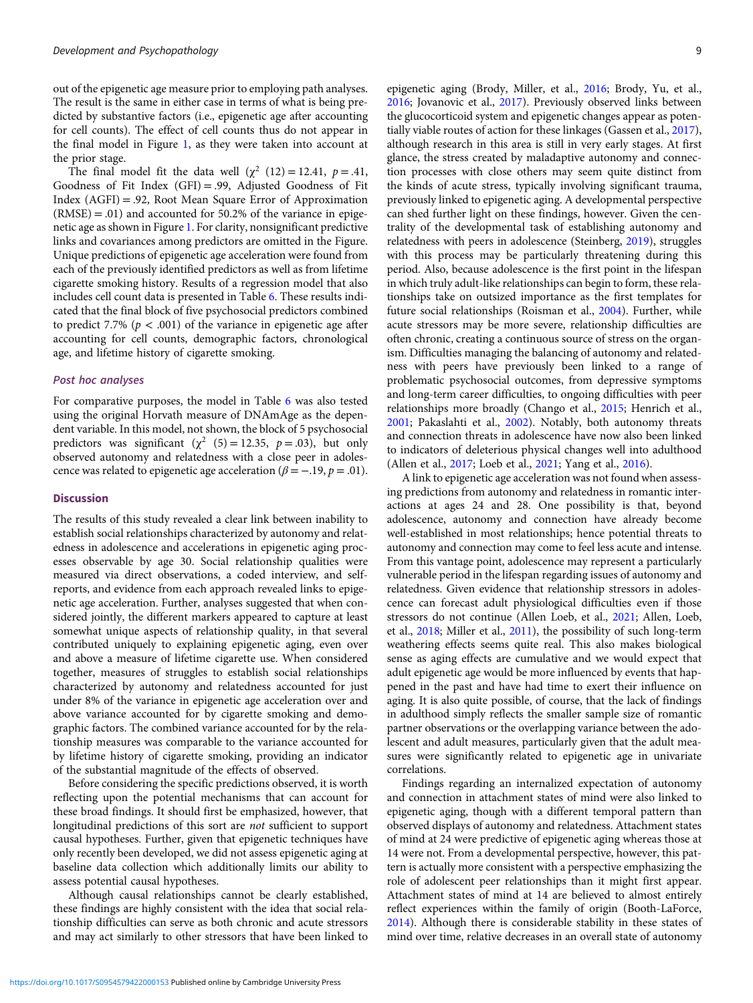out of the epigenetic age measure prior to employing path analyses. The result is the same in either case in terms of what is being predicted by substantive factors (i.e., epigenetic age after accounting for cell counts). The effect of cell counts thus do not appear in the final model in Figure [1,](#page-9-0) as they were taken into account at the prior stage.

The final model fit the data well  $(\chi^2 (12) = 12.41, p = .41,$ Goodness of Fit Index (GFI) = .99, Adjusted Goodness of Fit Index (AGFI) = .92, Root Mean Square Error of Approximation  $(RMSE) = .01$ ) and accounted for 50.2% of the variance in epigenetic age as shown in Figure [1.](#page-9-0) For clarity, nonsignificant predictive links and covariances among predictors are omitted in the Figure. Unique predictions of epigenetic age acceleration were found from each of the previously identified predictors as well as from lifetime cigarette smoking history. Results of a regression model that also includes cell count data is presented in Table [6](#page-10-0). These results indicated that the final block of five psychosocial predictors combined to predict 7.7% ( $p < .001$ ) of the variance in epigenetic age after accounting for cell counts, demographic factors, chronological age, and lifetime history of cigarette smoking.

#### Post hoc analyses

For comparative purposes, the model in Table [6](#page-10-0) was also tested using the original Horvath measure of DNAmAge as the dependent variable. In this model, not shown, the block of 5 psychosocial predictors was significant ( $\chi^2$  (5) = 12.35, p = .03), but only observed autonomy and relatedness with a close peer in adolescence was related to epigenetic age acceleration ( $\beta = -.19, p = .01$ ).

#### **Discussion**

The results of this study revealed a clear link between inability to establish social relationships characterized by autonomy and relatedness in adolescence and accelerations in epigenetic aging processes observable by age 30. Social relationship qualities were measured via direct observations, a coded interview, and selfreports, and evidence from each approach revealed links to epigenetic age acceleration. Further, analyses suggested that when considered jointly, the different markers appeared to capture at least somewhat unique aspects of relationship quality, in that several contributed uniquely to explaining epigenetic aging, even over and above a measure of lifetime cigarette use. When considered together, measures of struggles to establish social relationships characterized by autonomy and relatedness accounted for just under 8% of the variance in epigenetic age acceleration over and above variance accounted for by cigarette smoking and demographic factors. The combined variance accounted for by the relationship measures was comparable to the variance accounted for by lifetime history of cigarette smoking, providing an indicator of the substantial magnitude of the effects of observed.

Before considering the specific predictions observed, it is worth reflecting upon the potential mechanisms that can account for these broad findings. It should first be emphasized, however, that longitudinal predictions of this sort are not sufficient to support causal hypotheses. Further, given that epigenetic techniques have only recently been developed, we did not assess epigenetic aging at baseline data collection which additionally limits our ability to assess potential causal hypotheses.

Although causal relationships cannot be clearly established, these findings are highly consistent with the idea that social relationship difficulties can serve as both chronic and acute stressors and may act similarly to other stressors that have been linked to epigenetic aging (Brody, Miller, et al., [2016;](#page-11-0) Brody, Yu, et al., [2016](#page-11-0); Jovanovic et al., [2017](#page-12-0)). Previously observed links between the glucocorticoid system and epigenetic changes appear as potentially viable routes of action for these linkages (Gassen et al., [2017\)](#page-12-0), although research in this area is still in very early stages. At first glance, the stress created by maladaptive autonomy and connection processes with close others may seem quite distinct from the kinds of acute stress, typically involving significant trauma, previously linked to epigenetic aging. A developmental perspective can shed further light on these findings, however. Given the centrality of the developmental task of establishing autonomy and relatedness with peers in adolescence (Steinberg, [2019](#page-13-0)), struggles with this process may be particularly threatening during this period. Also, because adolescence is the first point in the lifespan in which truly adult-like relationships can begin to form, these relationships take on outsized importance as the first templates for future social relationships (Roisman et al., [2004\)](#page-13-0). Further, while acute stressors may be more severe, relationship difficulties are often chronic, creating a continuous source of stress on the organism. Difficulties managing the balancing of autonomy and relatedness with peers have previously been linked to a range of problematic psychosocial outcomes, from depressive symptoms and long-term career difficulties, to ongoing difficulties with peer relationships more broadly (Chango et al., [2015](#page-11-0); Henrich et al., [2001](#page-12-0); Pakaslahti et al., [2002\)](#page-12-0). Notably, both autonomy threats and connection threats in adolescence have now also been linked to indicators of deleterious physical changes well into adulthood (Allen et al., [2017](#page-11-0); Loeb et al., [2021;](#page-12-0) Yang et al., [2016\)](#page-13-0).

A link to epigenetic age acceleration was not found when assessing predictions from autonomy and relatedness in romantic interactions at ages 24 and 28. One possibility is that, beyond adolescence, autonomy and connection have already become well-established in most relationships; hence potential threats to autonomy and connection may come to feel less acute and intense. From this vantage point, adolescence may represent a particularly vulnerable period in the lifespan regarding issues of autonomy and relatedness. Given evidence that relationship stressors in adolescence can forecast adult physiological difficulties even if those stressors do not continue (Allen Loeb, et al., [2021;](#page-12-0) Allen, Loeb, et al., [2018;](#page-11-0) Miller et al., [2011\)](#page-12-0), the possibility of such long-term weathering effects seems quite real. This also makes biological sense as aging effects are cumulative and we would expect that adult epigenetic age would be more influenced by events that happened in the past and have had time to exert their influence on aging. It is also quite possible, of course, that the lack of findings in adulthood simply reflects the smaller sample size of romantic partner observations or the overlapping variance between the adolescent and adult measures, particularly given that the adult measures were significantly related to epigenetic age in univariate correlations.

Findings regarding an internalized expectation of autonomy and connection in attachment states of mind were also linked to epigenetic aging, though with a different temporal pattern than observed displays of autonomy and relatedness. Attachment states of mind at 24 were predictive of epigenetic aging whereas those at 14 were not. From a developmental perspective, however, this pattern is actually more consistent with a perspective emphasizing the role of adolescent peer relationships than it might first appear. Attachment states of mind at 14 are believed to almost entirely reflect experiences within the family of origin (Booth-LaForce, [2014](#page-11-0)). Although there is considerable stability in these states of mind over time, relative decreases in an overall state of autonomy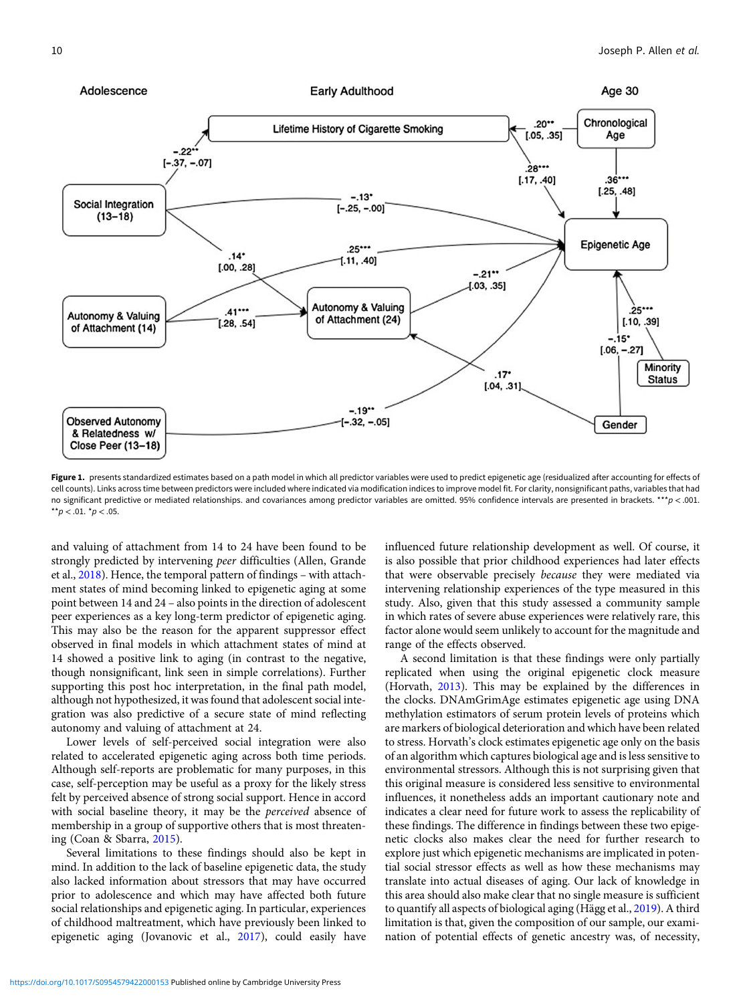<span id="page-9-0"></span>

Figure 1. presents standardized estimates based on a path model in which all predictor variables were used to predict epigenetic age (residualized after accounting for effects of cell counts). Links across time between predictors were included where indicated via modification indices to improve model fit. For clarity, nonsignificant paths, variables that had no significant predictive or mediated relationships. and covariances among predictor variables are omitted. 95% confidence intervals are presented in brackets. \*\*\*p < .001. \*\*p <  $.01.$  \*p <  $.05.$ 

and valuing of attachment from 14 to 24 have been found to be strongly predicted by intervening peer difficulties (Allen, Grande et al., [2018](#page-11-0)). Hence, the temporal pattern of findings – with attachment states of mind becoming linked to epigenetic aging at some point between 14 and 24 – also points in the direction of adolescent peer experiences as a key long-term predictor of epigenetic aging. This may also be the reason for the apparent suppressor effect observed in final models in which attachment states of mind at 14 showed a positive link to aging (in contrast to the negative, though nonsignificant, link seen in simple correlations). Further supporting this post hoc interpretation, in the final path model, although not hypothesized, it was found that adolescent social integration was also predictive of a secure state of mind reflecting autonomy and valuing of attachment at 24.

Lower levels of self-perceived social integration were also related to accelerated epigenetic aging across both time periods. Although self-reports are problematic for many purposes, in this case, self-perception may be useful as a proxy for the likely stress felt by perceived absence of strong social support. Hence in accord with social baseline theory, it may be the perceived absence of membership in a group of supportive others that is most threatening (Coan & Sbarra, [2015](#page-11-0)).

Several limitations to these findings should also be kept in mind. In addition to the lack of baseline epigenetic data, the study also lacked information about stressors that may have occurred prior to adolescence and which may have affected both future social relationships and epigenetic aging. In particular, experiences of childhood maltreatment, which have previously been linked to epigenetic aging (Jovanovic et al., [2017](#page-12-0)), could easily have influenced future relationship development as well. Of course, it is also possible that prior childhood experiences had later effects that were observable precisely because they were mediated via intervening relationship experiences of the type measured in this study. Also, given that this study assessed a community sample in which rates of severe abuse experiences were relatively rare, this factor alone would seem unlikely to account for the magnitude and range of the effects observed.

A second limitation is that these findings were only partially replicated when using the original epigenetic clock measure (Horvath, [2013](#page-12-0)). This may be explained by the differences in the clocks. DNAmGrimAge estimates epigenetic age using DNA methylation estimators of serum protein levels of proteins which are markers of biological deterioration and which have been related to stress. Horvath's clock estimates epigenetic age only on the basis of an algorithm which captures biological age and is less sensitive to environmental stressors. Although this is not surprising given that this original measure is considered less sensitive to environmental influences, it nonetheless adds an important cautionary note and indicates a clear need for future work to assess the replicability of these findings. The difference in findings between these two epigenetic clocks also makes clear the need for further research to explore just which epigenetic mechanisms are implicated in potential social stressor effects as well as how these mechanisms may translate into actual diseases of aging. Our lack of knowledge in this area should also make clear that no single measure is sufficient to quantify all aspects of biological aging (Hägg et al., [2019\)](#page-12-0). A third limitation is that, given the composition of our sample, our examination of potential effects of genetic ancestry was, of necessity,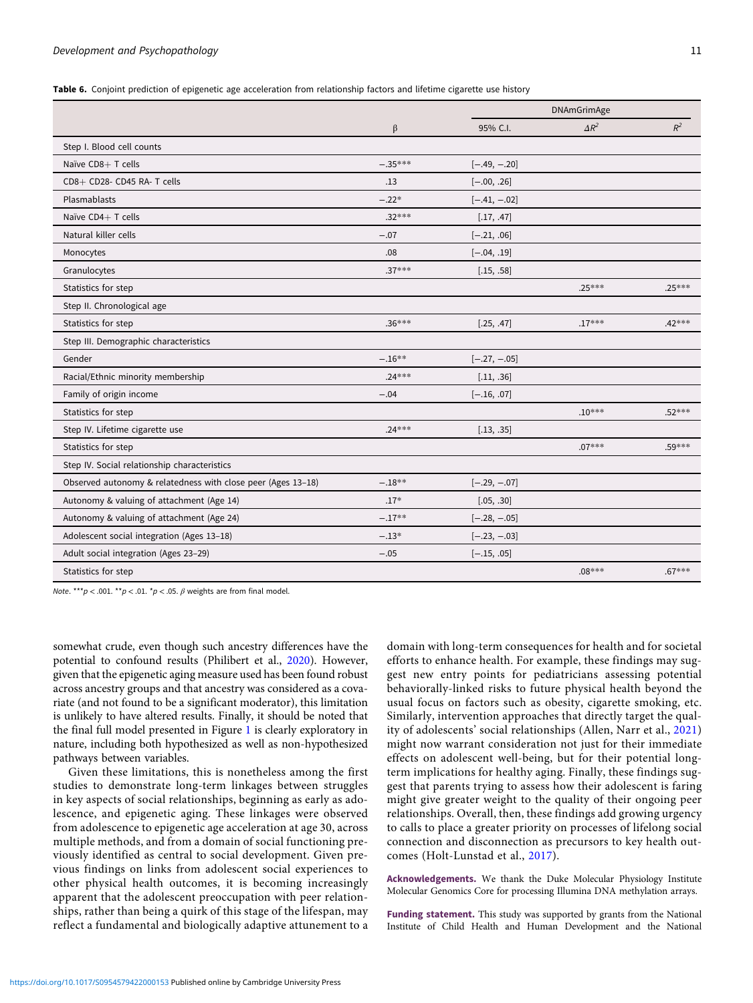<span id="page-10-0"></span>Table 6. Conjoint prediction of epigenetic age acceleration from relationship factors and lifetime cigarette use history

|                                                              |           |                | <b>DNAmGrimAge</b> |          |
|--------------------------------------------------------------|-----------|----------------|--------------------|----------|
|                                                              | $\beta$   | 95% C.I.       | $\Delta R^2$       | $R^2$    |
| Step I. Blood cell counts                                    |           |                |                    |          |
| Naïve CD8+ T cells                                           | $-.35***$ | $[-.49, -.20]$ |                    |          |
| CD8+ CD28- CD45 RA- T cells                                  | .13       | $[-.00, .26]$  |                    |          |
| Plasmablasts                                                 | $-.22*$   | $[-.41, -.02]$ |                    |          |
| Naïve CD4+ T cells                                           | $.32***$  | [.17, .47]     |                    |          |
| Natural killer cells                                         | $-.07$    | $[-.21, .06]$  |                    |          |
| Monocytes                                                    | .08       | $[-.04, .19]$  |                    |          |
| Granulocytes                                                 | $.37***$  | [.15, .58]     |                    |          |
| Statistics for step                                          |           |                | .25***             | $.25***$ |
| Step II. Chronological age                                   |           |                |                    |          |
| Statistics for step                                          | $.36***$  | [.25, .47]     | $.17***$           | $.42***$ |
| Step III. Demographic characteristics                        |           |                |                    |          |
| Gender                                                       | $-.16**$  | $[-.27, -.05]$ |                    |          |
| Racial/Ethnic minority membership                            | $.24***$  | [.11, .36]     |                    |          |
| Family of origin income                                      | $-.04$    | $[-.16, .07]$  |                    |          |
| Statistics for step                                          |           |                | $.10***$           | $.52***$ |
| Step IV. Lifetime cigarette use                              | $.24***$  | [.13, .35]     |                    |          |
| Statistics for step                                          |           |                | $.07***$           | .59***   |
| Step IV. Social relationship characteristics                 |           |                |                    |          |
| Observed autonomy & relatedness with close peer (Ages 13-18) | $-.18**$  | $[-.29, -.07]$ |                    |          |
| Autonomy & valuing of attachment (Age 14)                    | $.17*$    | [.05, .30]     |                    |          |
| Autonomy & valuing of attachment (Age 24)                    | $-.17**$  | $[-.28, -.05]$ |                    |          |
| Adolescent social integration (Ages 13-18)                   | $-.13*$   | $[-.23, -.03]$ |                    |          |
| Adult social integration (Ages 23-29)                        | $-.05$    | $[-.15, .05]$  |                    |          |
| Statistics for step                                          |           |                | $.08***$           | $.67***$ |

Note. \*\*\*p < .001. \*\*p < .01. \*p < .05.  $\beta$  weights are from final model.

somewhat crude, even though such ancestry differences have the potential to confound results (Philibert et al., [2020](#page-12-0)). However, given that the epigenetic aging measure used has been found robust across ancestry groups and that ancestry was considered as a covariate (and not found to be a significant moderator), this limitation is unlikely to have altered results. Finally, it should be noted that the final full model presented in Figure [1](#page-9-0) is clearly exploratory in nature, including both hypothesized as well as non-hypothesized pathways between variables.

Given these limitations, this is nonetheless among the first studies to demonstrate long-term linkages between struggles in key aspects of social relationships, beginning as early as adolescence, and epigenetic aging. These linkages were observed from adolescence to epigenetic age acceleration at age 30, across multiple methods, and from a domain of social functioning previously identified as central to social development. Given previous findings on links from adolescent social experiences to other physical health outcomes, it is becoming increasingly apparent that the adolescent preoccupation with peer relationships, rather than being a quirk of this stage of the lifespan, may reflect a fundamental and biologically adaptive attunement to a

domain with long-term consequences for health and for societal efforts to enhance health. For example, these findings may suggest new entry points for pediatricians assessing potential behaviorally-linked risks to future physical health beyond the usual focus on factors such as obesity, cigarette smoking, etc. Similarly, intervention approaches that directly target the quality of adolescents' social relationships (Allen, Narr et al., [2021\)](#page-11-0) might now warrant consideration not just for their immediate effects on adolescent well-being, but for their potential longterm implications for healthy aging. Finally, these findings suggest that parents trying to assess how their adolescent is faring might give greater weight to the quality of their ongoing peer relationships. Overall, then, these findings add growing urgency to calls to place a greater priority on processes of lifelong social connection and disconnection as precursors to key health outcomes (Holt-Lunstad et al., [2017\)](#page-12-0).

Acknowledgements. We thank the Duke Molecular Physiology Institute Molecular Genomics Core for processing Illumina DNA methylation arrays.

Funding statement. This study was supported by grants from the National Institute of Child Health and Human Development and the National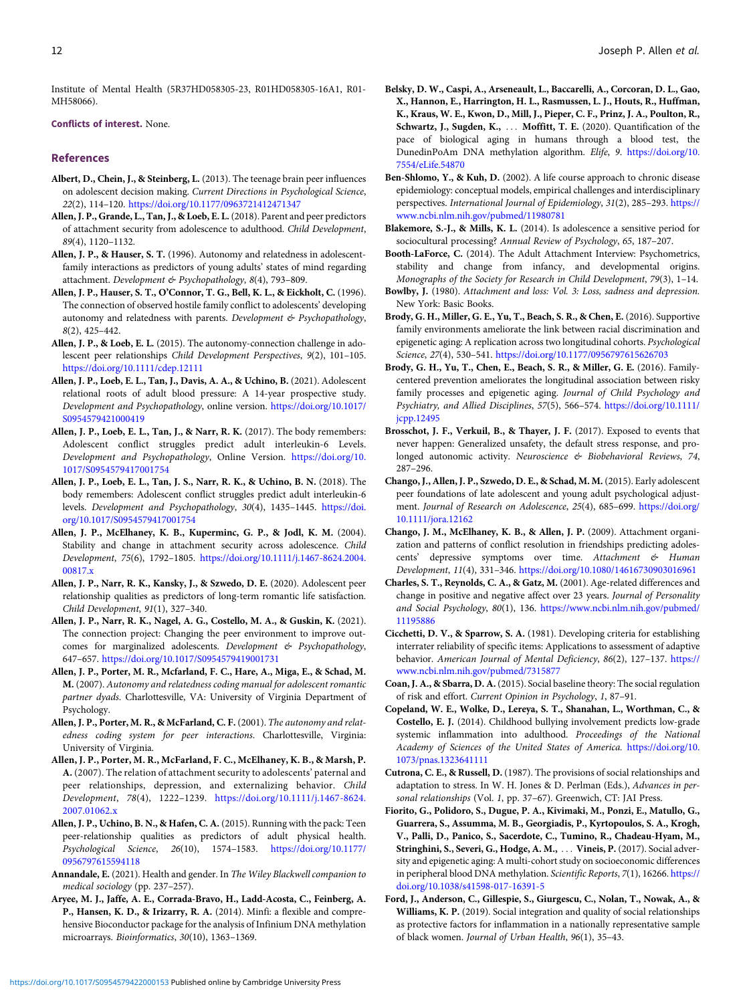<span id="page-11-0"></span>Institute of Mental Health (5R37HD058305-23, R01HD058305-16A1, R01- MH58066).

Conflicts of interest. None.

#### References

- Albert, D., Chein, J., & Steinberg, L. (2013). The teenage brain peer influences on adolescent decision making. Current Directions in Psychological Science, 22(2), 114–120. <https://doi.org/10.1177/0963721412471347>
- Allen, J. P., Grande, L., Tan, J., & Loeb, E. L. (2018). Parent and peer predictors of attachment security from adolescence to adulthood. Child Development, 89(4), 1120–1132.
- Allen, J. P., & Hauser, S. T. (1996). Autonomy and relatedness in adolescentfamily interactions as predictors of young adults' states of mind regarding attachment. Development & Psychopathology, 8(4), 793-809.
- Allen, J. P., Hauser, S. T., O'Connor, T. G., Bell, K. L., & Eickholt, C. (1996). The connection of observed hostile family conflict to adolescents' developing autonomy and relatedness with parents. Development & Psychopathology, 8(2), 425–442.
- Allen, J. P., & Loeb, E. L. (2015). The autonomy-connection challenge in adolescent peer relationships Child Development Perspectives, 9(2), 101–105. <https://doi.org/10.1111/cdep.12111>
- Allen, J. P., Loeb, E. L., Tan, J., Davis, A. A., & Uchino, B. (2021). Adolescent relational roots of adult blood pressure: A 14-year prospective study. Development and Psychopathology, online version. [https://doi.org/10.1017/](https://doi.org/10.1017/S0954579421000419) [S0954579421000419](https://doi.org/10.1017/S0954579421000419)
- Allen, J. P., Loeb, E. L., Tan, J., & Narr, R. K. (2017). The body remembers: Adolescent conflict struggles predict adult interleukin-6 Levels. Development and Psychopathology, Online Version. [https://doi.org/10.](https://doi.org/10.1017/S0954579417001754) [1017/S0954579417001754](https://doi.org/10.1017/S0954579417001754)
- Allen, J. P., Loeb, E. L., Tan, J. S., Narr, R. K., & Uchino, B. N. (2018). The body remembers: Adolescent conflict struggles predict adult interleukin-6 levels. Development and Psychopathology, 30(4), 1435–1445. [https://doi.](https://doi.org/10.1017/S0954579417001754) [org/10.1017/S0954579417001754](https://doi.org/10.1017/S0954579417001754)
- Allen, J. P., McElhaney, K. B., Kuperminc, G. P., & Jodl, K. M. (2004). Stability and change in attachment security across adolescence. Child Development, 75(6), 1792–1805. [https://doi.org/10.1111/j.1467-8624.2004.](https://doi.org/10.1111/j.1467-8624.2004.00817.x) [00817.x](https://doi.org/10.1111/j.1467-8624.2004.00817.x)
- Allen, J. P., Narr, R. K., Kansky, J., & Szwedo, D. E. (2020). Adolescent peer relationship qualities as predictors of long-term romantic life satisfaction. Child Development, 91(1), 327–340.
- Allen, J. P., Narr, R. K., Nagel, A. G., Costello, M. A., & Guskin, K. (2021). The connection project: Changing the peer environment to improve outcomes for marginalized adolescents. Development & Psychopathology, 647–657. <https://doi.org/10.1017/S0954579419001731>
- Allen, J. P., Porter, M. R., Mcfarland, F. C., Hare, A., Miga, E., & Schad, M. M. (2007). Autonomy and relatedness coding manual for adolescent romantic partner dyads. Charlottesville, VA: University of Virginia Department of Psychology.
- Allen, J. P., Porter, M. R., & McFarland, C. F. (2001). The autonomy and relatedness coding system for peer interactions. Charlottesville, Virginia: University of Virginia.
- Allen, J. P., Porter, M. R., McFarland, F. C., McElhaney, K. B., & Marsh, P. A. (2007). The relation of attachment security to adolescents' paternal and peer relationships, depression, and externalizing behavior. Child Development, 78(4), 1222–1239. [https://doi.org/10.1111/j.1467-8624.](https://doi.org/10.1111/j.1467-8624.2007.01062.x) [2007.01062.x](https://doi.org/10.1111/j.1467-8624.2007.01062.x)
- Allen, J. P., Uchino, B. N., & Hafen, C. A. (2015). Running with the pack: Teen peer-relationship qualities as predictors of adult physical health. Psychological Science, 26(10), 1574–1583. [https://doi.org/10.1177/](https://doi.org/10.1177/0963721412471347) [0956797615594118](https://doi.org/10.1177/0963721412471347)
- Annandale, E. (2021). Health and gender. In The Wiley Blackwell companion to medical sociology (pp. 237–257).
- Aryee, M. J., Jaffe, A. E., Corrada-Bravo, H., Ladd-Acosta, C., Feinberg, A. P., Hansen, K. D., & Irizarry, R. A. (2014). Minfi: a flexible and comprehensive Bioconductor package for the analysis of Infinium DNA methylation microarrays. Bioinformatics, 30(10), 1363–1369.
- Belsky, D. W., Caspi, A., Arseneault, L., Baccarelli, A., Corcoran, D. L., Gao, X., Hannon, E., Harrington, H. L., Rasmussen, L. J., Houts, R., Huffman, K., Kraus, W. E., Kwon, D., Mill, J., Pieper, C. F., Prinz, J. A., Poulton, R., Schwartz, J., Sugden, K., ... Moffitt, T. E. (2020). Quantification of the pace of biological aging in humans through a blood test, the DunedinPoAm DNA methylation algorithm. Elife, 9. [https://doi.org/10.](https://doi.org/10.7554/eLife.54870) [7554/eLife.54870](https://doi.org/10.7554/eLife.54870)
- Ben-Shlomo, Y., & Kuh, D. (2002). A life course approach to chronic disease epidemiology: conceptual models, empirical challenges and interdisciplinary perspectives. International Journal of Epidemiology, 31(2), 285–293. [https://](https://www.ncbi.nlm.nih.gov/pubmed/11980781) [www.ncbi.nlm.nih.gov/pubmed/11980781](https://www.ncbi.nlm.nih.gov/pubmed/11980781)
- Blakemore, S.-J., & Mills, K. L. (2014). Is adolescence a sensitive period for sociocultural processing? Annual Review of Psychology, 65, 187–207.
- Booth-LaForce, C. (2014). The Adult Attachment Interview: Psychometrics, stability and change from infancy, and developmental origins. Monographs of the Society for Research in Child Development, 79(3), 1–14.
- Bowlby, J. (1980). Attachment and loss: Vol. 3: Loss, sadness and depression. New York: Basic Books.
- Brody, G. H., Miller, G. E., Yu, T., Beach, S. R., & Chen, E. (2016). Supportive family environments ameliorate the link between racial discrimination and epigenetic aging: A replication across two longitudinal cohorts. Psychological Science, 27(4), 530–541. <https://doi.org/10.1177/0956797615626703>
- Brody, G. H., Yu, T., Chen, E., Beach, S. R., & Miller, G. E. (2016). Familycentered prevention ameliorates the longitudinal association between risky family processes and epigenetic aging. Journal of Child Psychology and Psychiatry, and Allied Disciplines, 57(5), 566–574. [https://doi.org/10.1111/](https://doi.org/10.1111/jcpp.12495) [jcpp.12495](https://doi.org/10.1111/jcpp.12495)
- Brosschot, J. F., Verkuil, B., & Thayer, J. F. (2017). Exposed to events that never happen: Generalized unsafety, the default stress response, and prolonged autonomic activity. Neuroscience & Biobehavioral Reviews, 74, 287–296.
- Chango, J., Allen, J. P., Szwedo, D. E., & Schad, M. M. (2015). Early adolescent peer foundations of late adolescent and young adult psychological adjustment. Journal of Research on Adolescence, 25(4), 685–699. [https://doi.org/](https://doi.org/10.1111/jora.12162) [10.1111/jora.12162](https://doi.org/10.1111/jora.12162)
- Chango, J. M., McElhaney, K. B., & Allen, J. P. (2009). Attachment organization and patterns of conflict resolution in friendships predicting adolescents' depressive symptoms over time. Attachment & Human Development, 11(4), 331–346. <https://doi.org/10.1080/14616730903016961>
- Charles, S. T., Reynolds, C. A., & Gatz, M. (2001). Age-related differences and change in positive and negative affect over 23 years. Journal of Personality and Social Psychology, 80(1), 136. [https://www.ncbi.nlm.nih.gov/pubmed/](https://www.ncbi.nlm.nih.gov/pubmed/11195886) [11195886](https://www.ncbi.nlm.nih.gov/pubmed/11195886)
- Cicchetti, D. V., & Sparrow, S. A. (1981). Developing criteria for establishing interrater reliability of specific items: Applications to assessment of adaptive behavior. American Journal of Mental Deficiency, 86(2), 127-137. [https://](https://www.ncbi.nlm.nih.gov/pubmed/7315877) [www.ncbi.nlm.nih.gov/pubmed/7315877](https://www.ncbi.nlm.nih.gov/pubmed/7315877)
- Coan, J. A., & Sbarra, D. A. (2015). Social baseline theory: The social regulation of risk and effort. Current Opinion in Psychology, 1, 87–91.
- Copeland, W. E., Wolke, D., Lereya, S. T., Shanahan, L., Worthman, C., & Costello, E. J. (2014). Childhood bullying involvement predicts low-grade systemic inflammation into adulthood. Proceedings of the National Academy of Sciences of the United States of America. [https://doi.org/10.](https://doi.org/10.1073/pnas.1323641111) [1073/pnas.1323641111](https://doi.org/10.1073/pnas.1323641111)
- Cutrona, C. E., & Russell, D. (1987). The provisions of social relationships and adaptation to stress. In W. H. Jones & D. Perlman (Eds.), Advances in personal relationships (Vol. 1, pp. 37–67). Greenwich, CT: JAI Press.
- Fiorito, G., Polidoro, S., Dugue, P. A., Kivimaki, M., Ponzi, E., Matullo, G., Guarrera, S., Assumma, M. B., Georgiadis, P., Kyrtopoulos, S. A., Krogh, V., Palli, D., Panico, S., Sacerdote, C., Tumino, R., Chadeau-Hyam, M., Stringhini, S., Severi, G., Hodge, A. M., ... Vineis, P. (2017). Social adversity and epigenetic aging: A multi-cohort study on socioeconomic differences in peripheral blood DNA methylation. Scientific Reports, 7(1), 16266. [https://](https://doi.org/10.1038/s41598-017-16391-5) [doi.org/10.1038/s41598-017-16391-5](https://doi.org/10.1038/s41598-017-16391-5)
- Ford, J., Anderson, C., Gillespie, S., Giurgescu, C., Nolan, T., Nowak, A., & Williams, K. P. (2019). Social integration and quality of social relationships as protective factors for inflammation in a nationally representative sample of black women. Journal of Urban Health, 96(1), 35–43.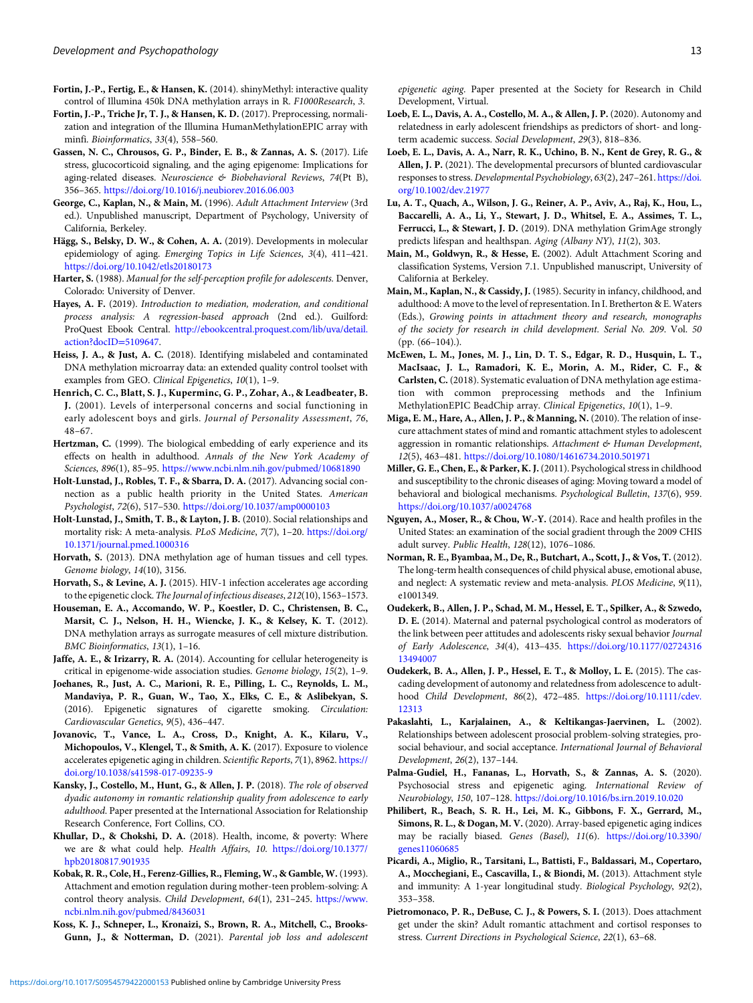- <span id="page-12-0"></span>Fortin, J.-P., Fertig, E., & Hansen, K. (2014). shinyMethyl: interactive quality control of Illumina 450k DNA methylation arrays in R. F1000Research, 3.
- Fortin, J.-P., Triche Jr, T. J., & Hansen, K. D. (2017). Preprocessing, normalization and integration of the Illumina HumanMethylationEPIC array with minfi. Bioinformatics, 33(4), 558–560.
- Gassen, N. C., Chrousos, G. P., Binder, E. B., & Zannas, A. S. (2017). Life stress, glucocorticoid signaling, and the aging epigenome: Implications for aging-related diseases. Neuroscience & Biobehavioral Reviews, 74(Pt B), 356–365. <https://doi.org/10.1016/j.neubiorev.2016.06.003>
- George, C., Kaplan, N., & Main, M. (1996). Adult Attachment Interview (3rd ed.). Unpublished manuscript, Department of Psychology, University of California, Berkeley.
- Hägg, S., Belsky, D. W., & Cohen, A. A. (2019). Developments in molecular epidemiology of aging. Emerging Topics in Life Sciences, 3(4), 411–421. <https://doi.org/10.1042/etls20180173>
- Harter, S. (1988). Manual for the self-perception profile for adolescents. Denver, Colorado: University of Denver.
- Hayes, A. F. (2019). Introduction to mediation, moderation, and conditional process analysis: A regression-based approach (2nd ed.). Guilford: ProQuest Ebook Central. [http://ebookcentral.proquest.com/lib/uva/detail.](http://ebookcentral.proquest.com/lib/uva/detail.action?docID=5109647) [action?docID](http://ebookcentral.proquest.com/lib/uva/detail.action?docID=5109647)=[5109647.](http://ebookcentral.proquest.com/lib/uva/detail.action?docID=5109647)
- Heiss, J. A., & Just, A. C. (2018). Identifying mislabeled and contaminated DNA methylation microarray data: an extended quality control toolset with examples from GEO. Clinical Epigenetics, 10(1), 1-9.
- Henrich, C. C., Blatt, S. J., Kuperminc, G. P., Zohar, A., & Leadbeater, B. J. (2001). Levels of interpersonal concerns and social functioning in early adolescent boys and girls. Journal of Personality Assessment, 76, 48–67.
- Hertzman, C. (1999). The biological embedding of early experience and its effects on health in adulthood. Annals of the New York Academy of Sciences, 896(1), 85–95. <https://www.ncbi.nlm.nih.gov/pubmed/10681890>
- Holt-Lunstad, J., Robles, T. F., & Sbarra, D. A. (2017). Advancing social connection as a public health priority in the United States. American Psychologist, 72(6), 517–530. <https://doi.org/10.1037/amp0000103>
- Holt-Lunstad, J., Smith, T. B., & Layton, J. B. (2010). Social relationships and mortality risk: A meta-analysis. PLoS Medicine, 7(7), 1–20. [https://doi.org/](https://doi.org/10.1371/journal.pmed.1000316) [10.1371/journal.pmed.1000316](https://doi.org/10.1371/journal.pmed.1000316)
- Horvath, S. (2013). DNA methylation age of human tissues and cell types. Genome biology, 14(10), 3156.
- Horvath, S., & Levine, A. J. (2015). HIV-1 infection accelerates age according to the epigenetic clock. The Journal of infectious diseases, 212(10), 1563–1573.
- Houseman, E. A., Accomando, W. P., Koestler, D. C., Christensen, B. C., Marsit, C. J., Nelson, H. H., Wiencke, J. K., & Kelsey, K. T. (2012). DNA methylation arrays as surrogate measures of cell mixture distribution. BMC Bioinformatics, 13(1), 1–16.
- Jaffe, A. E., & Irizarry, R. A. (2014). Accounting for cellular heterogeneity is critical in epigenome-wide association studies. Genome biology, 15(2), 1–9.
- Joehanes, R., Just, A. C., Marioni, R. E., Pilling, L. C., Reynolds, L. M., Mandaviya, P. R., Guan, W., Tao, X., Elks, C. E., & Aslibekyan, S. (2016). Epigenetic signatures of cigarette smoking. Circulation: Cardiovascular Genetics, 9(5), 436–447.
- Jovanovic, T., Vance, L. A., Cross, D., Knight, A. K., Kilaru, V., Michopoulos, V., Klengel, T., & Smith, A. K. (2017). Exposure to violence accelerates epigenetic aging in children. Scientific Reports, 7(1), 8962. [https://](https://doi.org/10.1038/s41598-017-09235-9) [doi.org/10.1038/s41598-017-09235-9](https://doi.org/10.1038/s41598-017-09235-9)
- Kansky, J., Costello, M., Hunt, G., & Allen, J. P. (2018). The role of observed dyadic autonomy in romantic relationship quality from adolescence to early adulthood. Paper presented at the International Association for Relationship Research Conference, Fort Collins, CO.
- Khullar, D., & Chokshi, D. A. (2018). Health, income, & poverty: Where we are & what could help. Health Affairs, 10. [https://doi.org/10.1377/](https://doi.org/10.1377/hpb20180817.901935) [hpb20180817.901935](https://doi.org/10.1377/hpb20180817.901935)
- Kobak, R. R., Cole, H., Ferenz-Gillies, R., Fleming, W., & Gamble, W. (1993). Attachment and emotion regulation during mother-teen problem-solving: A control theory analysis. Child Development, 64(1), 231–245. [https://www.](https://www.ncbi.nlm.nih.gov/pubmed/8436031) [ncbi.nlm.nih.gov/pubmed/8436031](https://www.ncbi.nlm.nih.gov/pubmed/8436031)
- Koss, K. J., Schneper, L., Kronaizi, S., Brown, R. A., Mitchell, C., Brooks-Gunn, J., & Notterman, D. (2021). Parental job loss and adolescent

epigenetic aging. Paper presented at the Society for Research in Child Development, Virtual.

- Loeb, E. L., Davis, A. A., Costello, M. A., & Allen, J. P. (2020). Autonomy and relatedness in early adolescent friendships as predictors of short- and longterm academic success. Social Development, 29(3), 818–836.
- Loeb, E. L., Davis, A. A., Narr, R. K., Uchino, B. N., Kent de Grey, R. G., & Allen, J. P. (2021). The developmental precursors of blunted cardiovascular responses to stress. Developmental Psychobiology, 63(2), 247-261. [https://doi.](https://doi.org/10.1002/dev.21977) [org/10.1002/dev.21977](https://doi.org/10.1002/dev.21977)
- Lu, A. T., Quach, A., Wilson, J. G., Reiner, A. P., Aviv, A., Raj, K., Hou, L., Baccarelli, A. A., Li, Y., Stewart, J. D., Whitsel, E. A., Assimes, T. L., Ferrucci, L., & Stewart, J. D. (2019). DNA methylation GrimAge strongly predicts lifespan and healthspan. Aging (Albany NY), 11(2), 303.
- Main, M., Goldwyn, R., & Hesse, E. (2002). Adult Attachment Scoring and classification Systems, Version 7.1. Unpublished manuscript, University of California at Berkeley.
- Main, M., Kaplan, N., & Cassidy, J. (1985). Security in infancy, childhood, and adulthood: A move to the level of representation. In I. Bretherton & E. Waters (Eds.), Growing points in attachment theory and research, monographs of the society for research in child development. Serial No. 209. Vol. 50 (pp. (66–104).).
- McEwen, L. M., Jones, M. J., Lin, D. T. S., Edgar, R. D., Husquin, L. T., MacIsaac, J. L., Ramadori, K. E., Morin, A. M., Rider, C. F., & Carlsten, C. (2018). Systematic evaluation of DNA methylation age estimation with common preprocessing methods and the Infinium MethylationEPIC BeadChip array. Clinical Epigenetics, 10(1), 1–9.
- Miga, E. M., Hare, A., Allen, J. P., & Manning, N. (2010). The relation of insecure attachment states of mind and romantic attachment styles to adolescent aggression in romantic relationships. Attachment & Human Development, 12(5), 463–481. <https://doi.org/10.1080/14616734.2010.501971>
- Miller, G. E., Chen, E., & Parker, K. J. (2011). Psychological stress in childhood and susceptibility to the chronic diseases of aging: Moving toward a model of behavioral and biological mechanisms. Psychological Bulletin, 137(6), 959. <https://doi.org/10.1037/a0024768>
- Nguyen, A., Moser, R., & Chou, W.-Y. (2014). Race and health profiles in the United States: an examination of the social gradient through the 2009 CHIS adult survey. Public Health, 128(12), 1076–1086.
- Norman, R. E., Byambaa, M., De, R., Butchart, A., Scott, J., & Vos, T. (2012). The long-term health consequences of child physical abuse, emotional abuse, and neglect: A systematic review and meta-analysis. PLOS Medicine, 9(11), e1001349.
- Oudekerk, B., Allen, J. P., Schad, M. M., Hessel, E. T., Spilker, A., & Szwedo, D. E. (2014). Maternal and paternal psychological control as moderators of the link between peer attitudes and adolescents risky sexual behavior Journal of Early Adolescence, 34(4), 413–435. [https://doi.org/10.1177/02724316](https://doi.org/10.1177/0272431613494007) [13494007](https://doi.org/10.1177/0272431613494007)
- Oudekerk, B. A., Allen, J. P., Hessel, E. T., & Molloy, L. E. (2015). The cascading development of autonomy and relatedness from adolescence to adulthood Child Development, 86(2), 472–485. [https://doi.org/10.1111/cdev.](https://doi.org/10.1111/cdev.12313) [12313](https://doi.org/10.1111/cdev.12313)
- Pakaslahti, L., Karjalainen, A., & Keltikangas-Jaervinen, L. (2002). Relationships between adolescent prosocial problem-solving strategies, prosocial behaviour, and social acceptance. International Journal of Behavioral Development, 26(2), 137–144.
- Palma-Gudiel, H., Fananas, L., Horvath, S., & Zannas, A. S. (2020). Psychosocial stress and epigenetic aging. International Review of Neurobiology, 150, 107–128. <https://doi.org/10.1016/bs.irn.2019.10.020>
- Philibert, R., Beach, S. R. H., Lei, M. K., Gibbons, F. X., Gerrard, M., Simons, R. L., & Dogan, M. V. (2020). Array-based epigenetic aging indices may be racially biased. Genes (Basel), 11(6). [https://doi.org/10.3390/](https://doi.org/10.3390/genes11060685) [genes11060685](https://doi.org/10.3390/genes11060685)
- Picardi, A., Miglio, R., Tarsitani, L., Battisti, F., Baldassari, M., Copertaro, A., Mocchegiani, E., Cascavilla, I., & Biondi, M. (2013). Attachment style and immunity: A 1-year longitudinal study. Biological Psychology, 92(2), 353–358.
- Pietromonaco, P. R., DeBuse, C. J., & Powers, S. I. (2013). Does attachment get under the skin? Adult romantic attachment and cortisol responses to stress. Current Directions in Psychological Science, 22(1), 63–68.